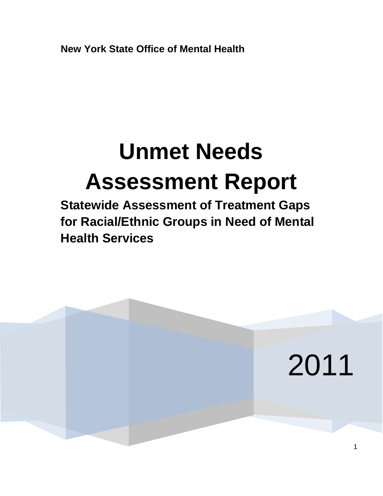**New York State Office of Mental Health**

# **Unmet Needs Assessment Report**

**Statewide Assessment of Treatment Gaps for Racial/Ethnic Groups in Need of Mental Health Services**

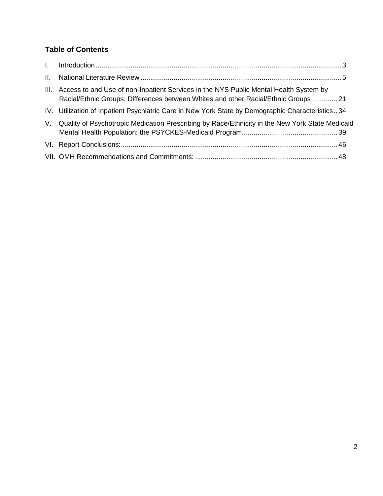# **Table of Contents**

| II. |                                                                                                                                                                                   |  |
|-----|-----------------------------------------------------------------------------------------------------------------------------------------------------------------------------------|--|
|     | III. Access to and Use of non-Inpatient Services in the NYS Public Mental Health System by<br>Racial/Ethnic Groups: Differences between Whites and other Racial/Ethnic Groups  21 |  |
|     | IV. Utilization of Inpatient Psychiatric Care in New York State by Demographic Characteristics34                                                                                  |  |
| V.  | Quality of Psychotropic Medication Prescribing by Race/Ethnicity in the New York State Medicaid                                                                                   |  |
|     |                                                                                                                                                                                   |  |
|     |                                                                                                                                                                                   |  |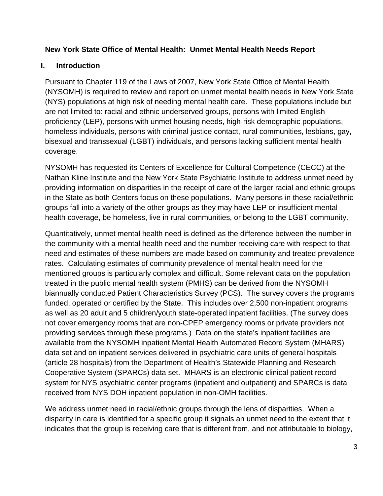## **New York State Office of Mental Health: Unmet Mental Health Needs Report**

## <span id="page-2-0"></span>**I. Introduction**

Pursuant to Chapter 119 of the Laws of 2007, New York State Office of Mental Health (NYSOMH) is required to review and report on unmet mental health needs in New York State (NYS) populations at high risk of needing mental health care. These populations include but are not limited to: racial and ethnic underserved groups, persons with limited English proficiency (LEP), persons with unmet housing needs, high-risk demographic populations, homeless individuals, persons with criminal justice contact, rural communities, lesbians, gay, bisexual and transsexual (LGBT) individuals, and persons lacking sufficient mental health coverage.

NYSOMH has requested its Centers of Excellence for Cultural Competence (CECC) at the Nathan Kline Institute and the New York State Psychiatric Institute to address unmet need by providing information on disparities in the receipt of care of the larger racial and ethnic groups in the State as both Centers focus on these populations. Many persons in these racial/ethnic groups fall into a variety of the other groups as they may have LEP or insufficient mental health coverage, be homeless, live in rural communities, or belong to the LGBT community.

Quantitatively, unmet mental health need is defined as the difference between the number in the community with a mental health need and the number receiving care with respect to that need and estimates of these numbers are made based on community and treated prevalence rates. Calculating estimates of community prevalence of mental health need for the mentioned groups is particularly complex and difficult. Some relevant data on the population treated in the public mental health system (PMHS) can be derived from the NYSOMH biannually conducted Patient Characteristics Survey (PCS). The survey covers the programs funded, operated or certified by the State. This includes over 2,500 non-inpatient programs as well as 20 adult and 5 children/youth state-operated inpatient facilities. (The survey does not cover emergency rooms that are non-CPEP emergency rooms or private providers not providing services through these programs.) Data on the state's inpatient facilities are available from the NYSOMH inpatient Mental Health Automated Record System (MHARS) data set and on inpatient services delivered in psychiatric care units of general hospitals (article 28 hospitals) from the Department of Health's Statewide Planning and Research Cooperative System (SPARCs) data set. MHARS is an electronic clinical patient record system for NYS psychiatric center programs (inpatient and outpatient) and SPARCs is data received from NYS DOH inpatient population in non-OMH facilities.

We address unmet need in racial/ethnic groups through the lens of disparities. When a disparity in care is identified for a specific group it signals an unmet need to the extent that it indicates that the group is receiving care that is different from, and not attributable to biology,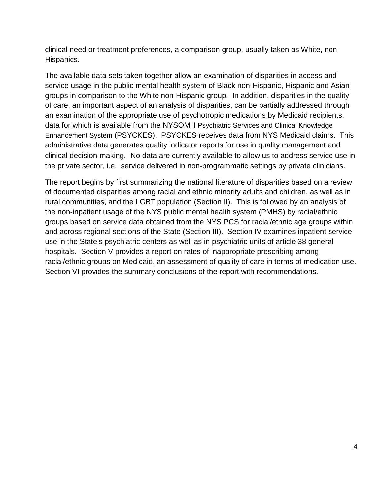clinical need or treatment preferences, a comparison group, usually taken as White, non-Hispanics.

The available data sets taken together allow an examination of disparities in access and service usage in the public mental health system of Black non-Hispanic, Hispanic and Asian groups in comparison to the White non-Hispanic group. In addition, disparities in the quality of care, an important aspect of an analysis of disparities, can be partially addressed through an examination of the appropriate use of psychotropic medications by Medicaid recipients, data for which is available from the NYSOMH Psychiatric Services and Clinical Knowledge Enhancement System (PSYCKES). PSYCKES receives data from NYS Medicaid claims. This administrative data generates quality indicator reports for use in quality management and clinical decision-making. No data are currently available to allow us to address service use in the private sector, i.e., service delivered in non-programmatic settings by private clinicians.

The report begins by first summarizing the national literature of disparities based on a review of documented disparities among racial and ethnic minority adults and children, as well as in rural communities, and the LGBT population (Section II). This is followed by an analysis of the non-inpatient usage of the NYS public mental health system (PMHS) by racial/ethnic groups based on service data obtained from the NYS PCS for racial/ethnic age groups within and across regional sections of the State (Section III). Section IV examines inpatient service use in the State's psychiatric centers as well as in psychiatric units of article 38 general hospitals. Section V provides a report on rates of inappropriate prescribing among racial/ethnic groups on Medicaid, an assessment of quality of care in terms of medication use. Section VI provides the summary conclusions of the report with recommendations.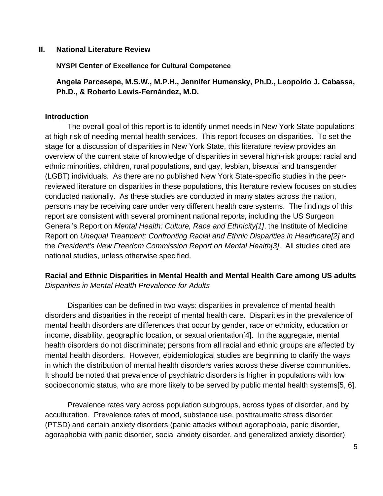#### <span id="page-4-0"></span>**II. National Literature Review**

**NYSPI Center of Excellence for Cultural Competence** 

**Angela Parcesepe, M.S.W., M.P.H., Jennifer Humensky, Ph.D., Leopoldo J. Cabassa, Ph.D., & Roberto Lewis-Fernández, M.D.**

#### **Introduction**

The overall goal of this report is to identify unmet needs in New York State populations at high risk of needing mental health services. This report focuses on disparities. To set the stage for a discussion of disparities in New York State, this literature review provides an overview of the current state of knowledge of disparities in several high-risk groups: racial and ethnic minorities, children, rural populations, and gay, lesbian, bisexual and transgender (LGBT) individuals. As there are no published New York State-specific studies in the peerreviewed literature on disparities in these populations, this literature review focuses on studies conducted nationally. As these studies are conducted in many states across the nation, persons may be receiving care under very different health care systems. The findings of this report are consistent with several prominent national reports, including the US Surgeon General's Report on *Mental Health: Culture, Race and Ethnicity[\[1\]](#page-15-0)*, the Institute of Medicine Report on *Unequal Treatment: Confronting Racial and Ethnic Disparities in Healthcare[\[2\]](#page-15-1)* and the *President's New Freedom Commission Report on Mental Health[\[3\]](#page-15-2)*. All studies cited are national studies, unless otherwise specified.

# **Racial and Ethnic Disparities in Mental Health and Mental Health Care among US adults** *Disparities in Mental Health Prevalence for Adults*

Disparities can be defined in two ways: disparities in prevalence of mental health disorders and disparities in the receipt of mental health care. Disparities in the prevalence of mental health disorders are differences that occur by gender, race or ethnicity, education or income, disability, geographic location, or sexual orientation[\[4\]](#page-15-3). In the aggregate, mental health disorders do not discriminate; persons from all racial and ethnic groups are affected by mental health disorders. However, epidemiological studies are beginning to clarify the ways in which the distribution of mental health disorders varies across these diverse communities. It should be noted that prevalence of psychiatric disorders is higher in populations with low socioeconomic status, who are more likely to be served by public mental health systems[\[5,](#page-15-4) [6\]](#page-15-5).

Prevalence rates vary across population subgroups, across types of disorder, and by acculturation. Prevalence rates of mood, substance use, posttraumatic stress disorder (PTSD) and certain anxiety disorders (panic attacks without agoraphobia, panic disorder, agoraphobia with panic disorder, social anxiety disorder, and generalized anxiety disorder)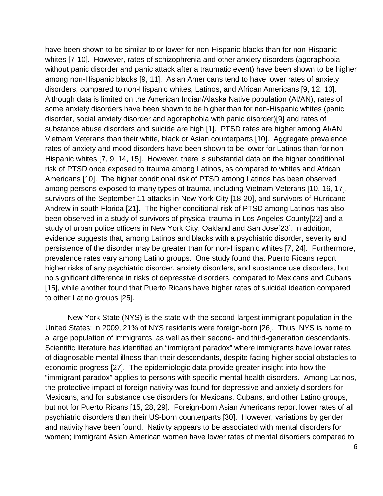have been shown to be similar to or lower for non-Hispanic blacks than for non-Hispanic whites [\[7-10\]](#page-15-6). However, rates of schizophrenia and other anxiety disorders (agoraphobia without panic disorder and panic attack after a traumatic event) have been shown to be higher among non-Hispanic blacks [\[9,](#page-15-7) [11\]](#page-15-8). Asian Americans tend to have lower rates of anxiety disorders, compared to non-Hispanic whites, Latinos, and African Americans [\[9,](#page-15-7) [12,](#page-15-9) [13\]](#page-15-10). Although data is limited on the American Indian/Alaska Native population (AI/AN), rates of some anxiety disorders have been shown to be higher than for non-Hispanic whites (panic disorder, social anxiety disorder and agoraphobia with panic disorder)[\[9\]](#page-15-7) and rates of substance abuse disorders and suicide are high [\[1\]](#page-15-0). PTSD rates are higher among AI/AN Vietnam Veterans than their white, black or Asian counterparts [\[10\]](#page-15-11). Aggregate prevalence rates of anxiety and mood disorders have been shown to be lower for Latinos than for non-Hispanic whites [\[7,](#page-15-6) [9,](#page-15-7) [14,](#page-15-12) [15\]](#page-15-13). However, there is substantial data on the higher conditional risk of PTSD once exposed to trauma among Latinos, as compared to whites and African Americans [\[10\]](#page-15-11). The higher conditional risk of PTSD among Latinos has been observed among persons exposed to many types of trauma, including Vietnam Veterans [\[10,](#page-15-11) [16,](#page-15-14) [17\]](#page-15-15), survivors of the September 11 attacks in New York City [\[18-20\]](#page-15-16), and survivors of Hurricane Andrew in south Florida [\[21\]](#page-16-0). The higher conditional risk of PTSD among Latinos has also been observed in a study of survivors of physical trauma in Los Angeles County[\[22\]](#page-16-1) and a study of urban police officers in New York City, Oakland and San Jose[\[23\]](#page-16-2). In addition, evidence suggests that, among Latinos and blacks with a psychiatric disorder, severity and persistence of the disorder may be greater than for non-Hispanic whites [\[7,](#page-15-6) [24\]](#page-16-3). Furthermore, prevalence rates vary among Latino groups. One study found that Puerto Ricans report higher risks of any psychiatric disorder, anxiety disorders, and substance use disorders, but no significant difference in risks of depressive disorders, compared to Mexicans and Cubans [\[15\]](#page-15-13), while another found that Puerto Ricans have higher rates of suicidal ideation compared to other Latino groups [\[25\]](#page-16-4).

New York State (NYS) is the state with the second-largest immigrant population in the United States; in 2009, 21% of NYS residents were foreign-born [\[26\]](#page-16-5). Thus, NYS is home to a large population of immigrants, as well as their second- and third-generation descendants. Scientific literature has identified an "immigrant paradox" where immigrants have lower rates of diagnosable mental illness than their descendants, despite facing higher social obstacles to economic progress [\[27\]](#page-16-6). The epidemiologic data provide greater insight into how the "immigrant paradox" applies to persons with specific mental health disorders. Among Latinos, the protective impact of foreign nativity was found for depressive and anxiety disorders for Mexicans, and for substance use disorders for Mexicans, Cubans, and other Latino groups, but not for Puerto Ricans [\[15,](#page-15-13) [28,](#page-16-7) [29\]](#page-16-8). Foreign-born Asian Americans report lower rates of all psychiatric disorders than their US-born counterparts [\[30\]](#page-16-9). However, variations by gender and nativity have been found. Nativity appears to be associated with mental disorders for women; immigrant Asian American women have lower rates of mental disorders compared to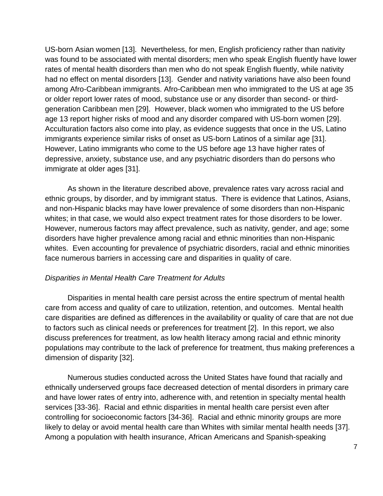US-born Asian women [\[13\]](#page-15-10). Nevertheless, for men, English proficiency rather than nativity was found to be associated with mental disorders; men who speak English fluently have lower rates of mental health disorders than men who do not speak English fluently, while nativity had no effect on mental disorders [\[13\]](#page-15-10). Gender and nativity variations have also been found among Afro-Caribbean immigrants. Afro-Caribbean men who immigrated to the US at age 35 or older report lower rates of mood, substance use or any disorder than second- or thirdgeneration Caribbean men [\[29\]](#page-16-8). However, black women who immigrated to the US before age 13 report higher risks of mood and any disorder compared with US-born women [\[29\]](#page-16-8). Acculturation factors also come into play, as evidence suggests that once in the US, Latino immigrants experience similar risks of onset as US-born Latinos of a similar age [\[31\]](#page-16-10). However, Latino immigrants who come to the US before age 13 have higher rates of depressive, anxiety, substance use, and any psychiatric disorders than do persons who immigrate at older ages [\[31\]](#page-16-10).

As shown in the literature described above, prevalence rates vary across racial and ethnic groups, by disorder, and by immigrant status. There is evidence that Latinos, Asians, and non-Hispanic blacks may have lower prevalence of some disorders than non-Hispanic whites; in that case, we would also expect treatment rates for those disorders to be lower. However, numerous factors may affect prevalence, such as nativity, gender, and age; some disorders have higher prevalence among racial and ethnic minorities than non-Hispanic whites. Even accounting for prevalence of psychiatric disorders, racial and ethnic minorities face numerous barriers in accessing care and disparities in quality of care.

#### *Disparities in Mental Health Care Treatment for Adults*

Disparities in mental health care persist across the entire spectrum of mental health care from access and quality of care to utilization, retention, and outcomes. Mental health care disparities are defined as differences in the availability or quality of care that are not due to factors such as clinical needs or preferences for treatment [\[2\]](#page-15-1). In this report, we also discuss preferences for treatment, as low health literacy among racial and ethnic minority populations may contribute to the lack of preference for treatment, thus making preferences a dimension of disparity [\[32\]](#page-16-11).

Numerous studies conducted across the United States have found that racially and ethnically underserved groups face decreased detection of mental disorders in primary care and have lower rates of entry into, adherence with, and retention in specialty mental health services [\[33-36\]](#page-16-12). Racial and ethnic disparities in mental health care persist even after controlling for socioeconomic factors [\[34-36\]](#page-16-13). Racial and ethnic minority groups are more likely to delay or avoid mental health care than Whites with similar mental health needs [\[37\]](#page-16-14). Among a population with health insurance, African Americans and Spanish-speaking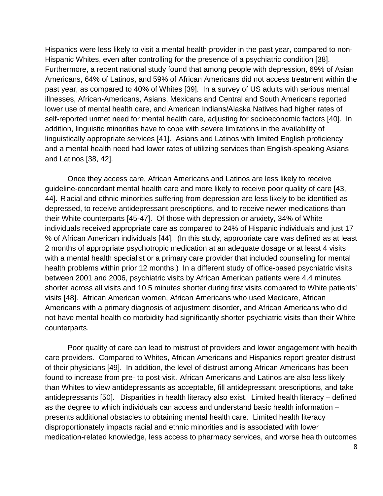Hispanics were less likely to visit a mental health provider in the past year, compared to non-Hispanic Whites, even after controlling for the presence of a psychiatric condition [\[38\]](#page-16-15). Furthermore, a recent national study found that among people with depression, 69% of Asian Americans, 64% of Latinos, and 59% of African Americans did not access treatment within the past year, as compared to 40% of Whites [\[39\]](#page-16-16). In a survey of US adults with serious mental illnesses, African-Americans, Asians, Mexicans and Central and South Americans reported lower use of mental health care, and American Indians/Alaska Natives had higher rates of self-reported unmet need for mental health care, adjusting for socioeconomic factors [\[40\]](#page-17-0). In addition, linguistic minorities have to cope with severe limitations in the availability of linguistically appropriate services [\[41\]](#page-17-1). Asians and Latinos with limited English proficiency and a mental health need had lower rates of utilizing services than English-speaking Asians and Latinos [\[38,](#page-16-15) [42\]](#page-17-2).

Once they access care, African Americans and Latinos are less likely to receive guideline-concordant mental health care and more likely to receive poor quality of care [\[43,](#page-17-3) [44\]](#page-17-4). Racial and ethnic minorities suffering from depression are less likely to be identified as depressed, to receive antidepressant prescriptions, and to receive newer medications than their White counterparts [\[45-47\]](#page-17-5). Of those with depression or anxiety, 34% of White individuals received appropriate care as compared to 24% of Hispanic individuals and just 17 % of African American individuals [\[44\]](#page-17-4). (In this study, appropriate care was defined as at least 2 months of appropriate psychotropic medication at an adequate dosage or at least 4 visits with a mental health specialist or a primary care provider that included counseling for mental health problems within prior 12 months.) In a different study of office-based psychiatric visits between 2001 and 2006, psychiatric visits by African American patients were 4.4 minutes shorter across all visits and 10.5 minutes shorter during first visits compared to White patients' visits [\[48\]](#page-17-6). African American women, African Americans who used Medicare, African Americans with a primary diagnosis of adjustment disorder, and African Americans who did not have mental health co morbidity had significantly shorter psychiatric visits than their White counterparts.

Poor quality of care can lead to mistrust of providers and lower engagement with health care providers. Compared to Whites, African Americans and Hispanics report greater distrust of their physicians [\[49\]](#page-17-7). In addition, the level of distrust among African Americans has been found to increase from pre- to post-visit. African Americans and Latinos are also less likely than Whites to view antidepressants as acceptable, fill antidepressant prescriptions, and take antidepressants [\[50\]](#page-17-8). Disparities in health literacy also exist. Limited health literacy – defined as the degree to which individuals can access and understand basic health information – presents additional obstacles to obtaining mental health care. Limited health literacy disproportionately impacts racial and ethnic minorities and is associated with lower medication-related knowledge, less access to pharmacy services, and worse health outcomes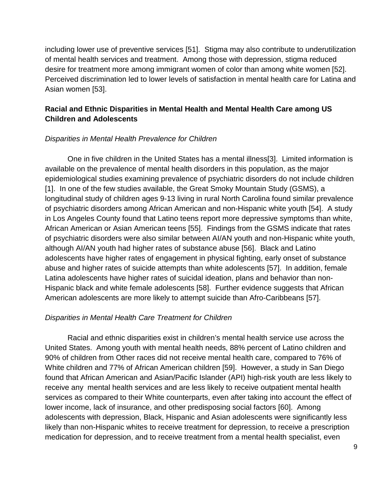including lower use of preventive services [\[51\]](#page-17-9). Stigma may also contribute to underutilization of mental health services and treatment. Among those with depression, stigma reduced desire for treatment more among immigrant women of color than among white women [\[52\]](#page-17-10). Perceived discrimination led to lower levels of satisfaction in mental health care for Latina and Asian women [\[53\]](#page-17-11).

# **Racial and Ethnic Disparities in Mental Health and Mental Health Care among US Children and Adolescents**

#### *Disparities in Mental Health Prevalence for Children*

One in five children in the United States has a mental illness[\[3\]](#page-15-2). Limited information is available on the prevalence of mental health disorders in this population, as the major epidemiological studies examining prevalence of psychiatric disorders do not include children [\[1\]](#page-15-0). In one of the few studies available, the Great Smoky Mountain Study (GSMS), a longitudinal study of children ages 9-13 living in rural North Carolina found similar prevalence of psychiatric disorders among African American and non-Hispanic white youth [\[54\]](#page-17-12). A study in Los Angeles County found that Latino teens report more depressive symptoms than white, African American or Asian American teens [\[55\]](#page-17-13). Findings from the GSMS indicate that rates of psychiatric disorders were also similar between AI/AN youth and non-Hispanic white youth, although AI/AN youth had higher rates of substance abuse [\[56\]](#page-17-14). Black and Latino adolescents have higher rates of engagement in physical fighting, early onset of substance abuse and higher rates of suicide attempts than white adolescents [\[57\]](#page-17-15). In addition, female Latina adolescents have higher rates of suicidal ideation, plans and behavior than non-Hispanic black and white female adolescents [\[58\]](#page-17-16). Further evidence suggests that African American adolescents are more likely to attempt suicide than Afro-Caribbeans [\[57\]](#page-17-15).

#### *Disparities in Mental Health Care Treatment for Children*

Racial and ethnic disparities exist in children's mental health service use across the United States. Among youth with mental health needs, 88% percent of Latino children and 90% of children from Other races did not receive mental health care, compared to 76% of White children and 77% of African American children [\[59\]](#page-17-17). However, a study in San Diego found that African American and Asian/Pacific Islander (API) high-risk youth are less likely to receive any mental health services and are less likely to receive outpatient mental health services as compared to their White counterparts, even after taking into account the effect of lower income, lack of insurance, and other predisposing social factors [\[60\]](#page-17-18). Among adolescents with depression, Black, Hispanic and Asian adolescents were significantly less likely than non-Hispanic whites to receive treatment for depression, to receive a prescription medication for depression, and to receive treatment from a mental health specialist, even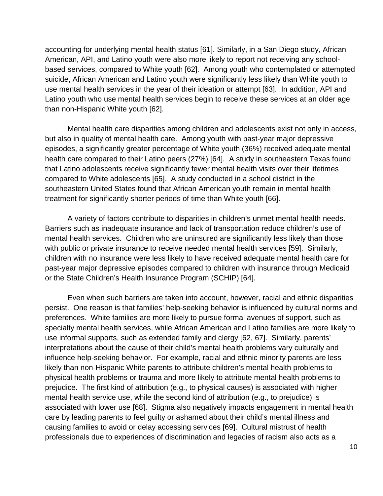accounting for underlying mental health status [\[61\]](#page-18-0). Similarly, in a San Diego study, African American, API, and Latino youth were also more likely to report not receiving any schoolbased services, compared to White youth [\[62\]](#page-18-1). Among youth who contemplated or attempted suicide, African American and Latino youth were significantly less likely than White youth to use mental health services in the year of their ideation or attempt [\[63\]](#page-18-2). In addition, API and Latino youth who use mental health services begin to receive these services at an older age than non-Hispanic White youth [\[62\]](#page-18-1).

Mental health care disparities among children and adolescents exist not only in access, but also in quality of mental health care. Among youth with past-year major depressive episodes, a significantly greater percentage of White youth (36%) received adequate mental health care compared to their Latino peers (27%) [\[64\]](#page-18-3). A study in southeastern Texas found that Latino adolescents receive significantly fewer mental health visits over their lifetimes compared to White adolescents [\[65\]](#page-18-4). A study conducted in a school district in the southeastern United States found that African American youth remain in mental health treatment for significantly shorter periods of time than White youth [\[66\]](#page-18-5).

A variety of factors contribute to disparities in children's unmet mental health needs. Barriers such as inadequate insurance and lack of transportation reduce children's use of mental health services. Children who are uninsured are significantly less likely than those with public or private insurance to receive needed mental health services [\[59\]](#page-17-17). Similarly, children with no insurance were less likely to have received adequate mental health care for past-year major depressive episodes compared to children with insurance through Medicaid or the State Children's Health Insurance Program (SCHIP) [\[64\]](#page-18-3).

Even when such barriers are taken into account, however, racial and ethnic disparities persist. One reason is that families' help-seeking behavior is influenced by cultural norms and preferences. White families are more likely to pursue formal avenues of support, such as specialty mental health services, while African American and Latino families are more likely to use informal supports, such as extended family and clergy [\[62,](#page-18-1) [67\]](#page-18-6). Similarly, parents' interpretations about the cause of their child's mental health problems vary culturally and influence help-seeking behavior. For example, racial and ethnic minority parents are less likely than non-Hispanic White parents to attribute children's mental health problems to physical health problems or trauma and more likely to attribute mental health problems to prejudice. The first kind of attribution (e.g., to physical causes) is associated with higher mental health service use, while the second kind of attribution (e.g., to prejudice) is associated with lower use [\[68\]](#page-18-7). Stigma also negatively impacts engagement in mental health care by leading parents to feel guilty or ashamed about their child's mental illness and causing families to avoid or delay accessing services [\[69\]](#page-18-8). Cultural mistrust of health professionals due to experiences of discrimination and legacies of racism also acts as a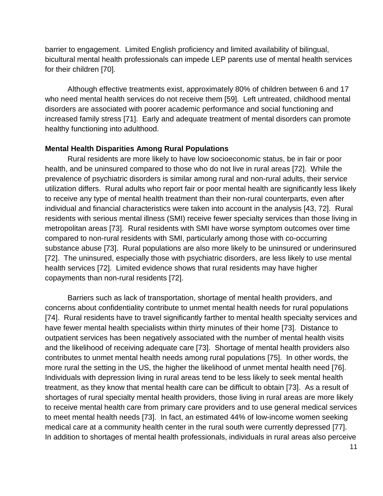barrier to engagement. Limited English proficiency and limited availability of bilingual, bicultural mental health professionals can impede LEP parents use of mental health services for their children [\[70\]](#page-18-9).

Although effective treatments exist, approximately 80% of children between 6 and 17 who need mental health services do not receive them [\[59\]](#page-17-17). Left untreated, childhood mental disorders are associated with poorer academic performance and social functioning and increased family stress [\[71\]](#page-18-10). Early and adequate treatment of mental disorders can promote healthy functioning into adulthood.

#### **Mental Health Disparities Among Rural Populations**

Rural residents are more likely to have low socioeconomic status, be in fair or poor health, and be uninsured compared to those who do not live in rural areas [\[72\]](#page-18-11). While the prevalence of psychiatric disorders is similar among rural and non-rural adults, their service utilization differs. Rural adults who report fair or poor mental health are significantly less likely to receive any type of mental health treatment than their non-rural counterparts, even after individual and financial characteristics were taken into account in the analysis [\[43,](#page-17-3) [72\]](#page-18-11). Rural residents with serious mental illness (SMI) receive fewer specialty services than those living in metropolitan areas [\[73\]](#page-18-12). Rural residents with SMI have worse symptom outcomes over time compared to non-rural residents with SMI, particularly among those with co-occurring substance abuse [\[73\]](#page-18-12). Rural populations are also more likely to be uninsured or underinsured [\[72\]](#page-18-11). The uninsured, especially those with psychiatric disorders, are less likely to use mental health services [\[72\]](#page-18-11). Limited evidence shows that rural residents may have higher copayments than non-rural residents [\[72\]](#page-18-11).

Barriers such as lack of transportation, shortage of mental health providers, and concerns about confidentiality contribute to unmet mental health needs for rural populations [\[74\]](#page-18-13). Rural residents have to travel significantly farther to mental health specialty services and have fewer mental health specialists within thirty minutes of their home [\[73\]](#page-18-12). Distance to outpatient services has been negatively associated with the number of mental health visits and the likelihood of receiving adequate care [\[73\]](#page-18-12). Shortage of mental health providers also contributes to unmet mental health needs among rural populations [\[75\]](#page-18-14). In other words, the more rural the setting in the US, the higher the likelihood of unmet mental health need [\[76\]](#page-18-15). Individuals with depression living in rural areas tend to be less likely to seek mental health treatment, as they know that mental health care can be difficult to obtain [\[73\]](#page-18-12). As a result of shortages of rural specialty mental health providers, those living in rural areas are more likely to receive mental health care from primary care providers and to use general medical services to meet mental health needs [\[73\]](#page-18-12). In fact, an estimated 44% of low-income women seeking medical care at a community health center in the rural south were currently depressed [\[77\]](#page-18-16). In addition to shortages of mental health professionals, individuals in rural areas also perceive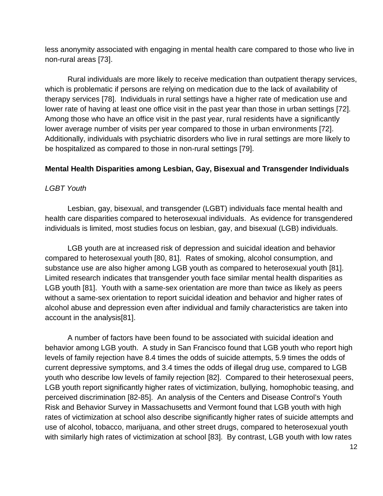less anonymity associated with engaging in mental health care compared to those who live in non-rural areas [\[73\]](#page-18-12).

Rural individuals are more likely to receive medication than outpatient therapy services, which is problematic if persons are relying on medication due to the lack of availability of therapy services [\[78\]](#page-18-17). Individuals in rural settings have a higher rate of medication use and lower rate of having at least one office visit in the past year than those in urban settings [\[72\]](#page-18-11). Among those who have an office visit in the past year, rural residents have a significantly lower average number of visits per year compared to those in urban environments [\[72\]](#page-18-11). Additionally, individuals with psychiatric disorders who live in rural settings are more likely to be hospitalized as compared to those in non-rural settings [\[79\]](#page-18-18).

# **Mental Health Disparities among Lesbian, Gay, Bisexual and Transgender Individuals**

## *LGBT Youth*

Lesbian, gay, bisexual, and transgender (LGBT) individuals face mental health and health care disparities compared to heterosexual individuals. As evidence for transgendered individuals is limited, most studies focus on lesbian, gay, and bisexual (LGB) individuals.

LGB youth are at increased risk of depression and suicidal ideation and behavior compared to heterosexual youth [\[80,](#page-18-19) [81\]](#page-19-0). Rates of smoking, alcohol consumption, and substance use are also higher among LGB youth as compared to heterosexual youth [\[81\]](#page-19-0). Limited research indicates that transgender youth face similar mental health disparities as LGB youth [\[81\]](#page-19-0). Youth with a same-sex orientation are more than twice as likely as peers without a same-sex orientation to report suicidal ideation and behavior and higher rates of alcohol abuse and depression even after individual and family characteristics are taken into account in the analysis[\[81\]](#page-19-0).

A number of factors have been found to be associated with suicidal ideation and behavior among LGB youth. A study in San Francisco found that LGB youth who report high levels of family rejection have 8.4 times the odds of suicide attempts, 5.9 times the odds of current depressive symptoms, and 3.4 times the odds of illegal drug use, compared to LGB youth who describe low levels of family rejection [\[82\]](#page-19-1). Compared to their heterosexual peers, LGB youth report significantly higher rates of victimization, bullying, homophobic teasing, and perceived discrimination [\[82-85\]](#page-19-1). An analysis of the Centers and Disease Control's Youth Risk and Behavior Survey in Massachusetts and Vermont found that LGB youth with high rates of victimization at school also describe significantly higher rates of suicide attempts and use of alcohol, tobacco, marijuana, and other street drugs, compared to heterosexual youth with similarly high rates of victimization at school [\[83\]](#page-19-2). By contrast, LGB youth with low rates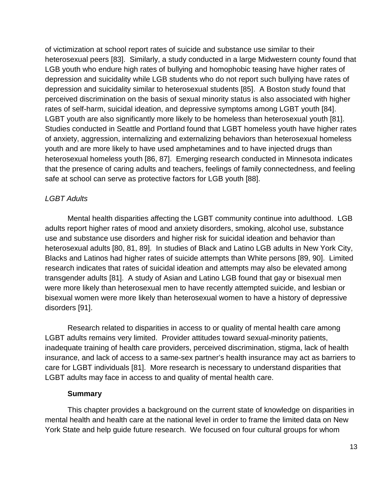of victimization at school report rates of suicide and substance use similar to their heterosexual peers [\[83\]](#page-19-2). Similarly, a study conducted in a large Midwestern county found that LGB youth who endure high rates of bullying and homophobic teasing have higher rates of depression and suicidality while LGB students who do not report such bullying have rates of depression and suicidality similar to heterosexual students [\[85\]](#page-19-3). A Boston study found that perceived discrimination on the basis of sexual minority status is also associated with higher rates of self-harm, suicidal ideation, and depressive symptoms among LGBT youth [\[84\]](#page-19-4). LGBT youth are also significantly more likely to be homeless than heterosexual youth [\[81\]](#page-19-0). Studies conducted in Seattle and Portland found that LGBT homeless youth have higher rates of anxiety, aggression, internalizing and externalizing behaviors than heterosexual homeless youth and are more likely to have used amphetamines and to have injected drugs than heterosexual homeless youth [\[86,](#page-19-5) [87\]](#page-19-6). Emerging research conducted in Minnesota indicates that the presence of caring adults and teachers, feelings of family connectedness, and feeling safe at school can serve as protective factors for LGB youth [\[88\]](#page-19-7).

## *LGBT Adults*

Mental health disparities affecting the LGBT community continue into adulthood. LGB adults report higher rates of mood and anxiety disorders, smoking, alcohol use, substance use and substance use disorders and higher risk for suicidal ideation and behavior than heterosexual adults [\[80,](#page-18-19) [81,](#page-19-0) [89\]](#page-19-8). In studies of Black and Latino LGB adults in New York City, Blacks and Latinos had higher rates of suicide attempts than White persons [\[89,](#page-19-8) [90\]](#page-19-9). Limited research indicates that rates of suicidal ideation and attempts may also be elevated among transgender adults [\[81\]](#page-19-0). A study of Asian and Latino LGB found that gay or bisexual men were more likely than heterosexual men to have recently attempted suicide, and lesbian or bisexual women were more likely than heterosexual women to have a history of depressive disorders [\[91\]](#page-19-10).

Research related to disparities in access to or quality of mental health care among LGBT adults remains very limited. Provider attitudes toward sexual-minority patients, inadequate training of health care providers, perceived discrimination, stigma, lack of health insurance, and lack of access to a same-sex partner's health insurance may act as barriers to care for LGBT individuals [\[81\]](#page-19-0). More research is necessary to understand disparities that LGBT adults may face in access to and quality of mental health care.

#### **Summary**

This chapter provides a background on the current state of knowledge on disparities in mental health and health care at the national level in order to frame the limited data on New York State and help guide future research. We focused on four cultural groups for whom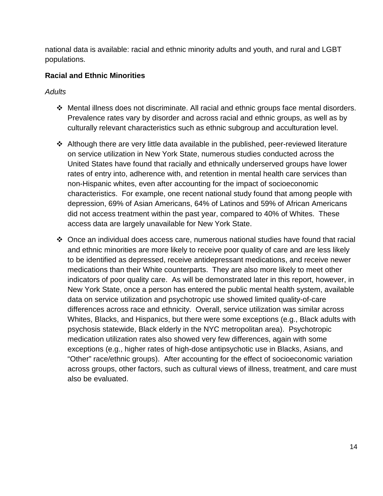national data is available: racial and ethnic minority adults and youth, and rural and LGBT populations.

# **Racial and Ethnic Minorities**

# *Adults*

- Mental illness does not discriminate. All racial and ethnic groups face mental disorders. Prevalence rates vary by disorder and across racial and ethnic groups, as well as by culturally relevant characteristics such as ethnic subgroup and acculturation level.
- Although there are very little data available in the published, peer-reviewed literature on service utilization in New York State, numerous studies conducted across the United States have found that racially and ethnically underserved groups have lower rates of entry into, adherence with, and retention in mental health care services than non-Hispanic whites, even after accounting for the impact of socioeconomic characteristics. For example, one recent national study found that among people with depression, 69% of Asian Americans, 64% of Latinos and 59% of African Americans did not access treatment within the past year, compared to 40% of Whites. These access data are largely unavailable for New York State.
- Once an individual does access care, numerous national studies have found that racial and ethnic minorities are more likely to receive poor quality of care and are less likely to be identified as depressed, receive antidepressant medications, and receive newer medications than their White counterparts. They are also more likely to meet other indicators of poor quality care. As will be demonstrated later in this report, however, in New York State, once a person has entered the public mental health system, available data on service utilization and psychotropic use showed limited quality-of-care differences across race and ethnicity. Overall, service utilization was similar across Whites, Blacks, and Hispanics, but there were some exceptions (e.g., Black adults with psychosis statewide, Black elderly in the NYC metropolitan area). Psychotropic medication utilization rates also showed very few differences, again with some exceptions (e.g., higher rates of high-dose antipsychotic use in Blacks, Asians, and "Other" race/ethnic groups). After accounting for the effect of socioeconomic variation across groups, other factors, such as cultural views of illness, treatment, and care must also be evaluated.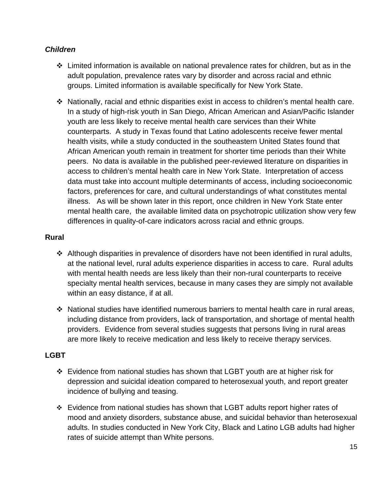# *Children*

- $\div$  Limited information is available on national prevalence rates for children, but as in the adult population, prevalence rates vary by disorder and across racial and ethnic groups. Limited information is available specifically for New York State.
- $\cdot \cdot$  Nationally, racial and ethnic disparities exist in access to children's mental health care. In a study of high-risk youth in San Diego, African American and Asian/Pacific Islander youth are less likely to receive mental health care services than their White counterparts. A study in Texas found that Latino adolescents receive fewer mental health visits, while a study conducted in the southeastern United States found that African American youth remain in treatment for shorter time periods than their White peers. No data is available in the published peer-reviewed literature on disparities in access to children's mental health care in New York State. Interpretation of access data must take into account multiple determinants of access, including socioeconomic factors, preferences for care, and cultural understandings of what constitutes mental illness. As will be shown later in this report, once children in New York State enter mental health care, the available limited data on psychotropic utilization show very few differences in quality-of-care indicators across racial and ethnic groups.

# **Rural**

- $\cdot$  Although disparities in prevalence of disorders have not been identified in rural adults, at the national level, rural adults experience disparities in access to care. Rural adults with mental health needs are less likely than their non-rural counterparts to receive specialty mental health services, because in many cases they are simply not available within an easy distance, if at all.
- National studies have identified numerous barriers to mental health care in rural areas, including distance from providers, lack of transportation, and shortage of mental health providers. Evidence from several studies suggests that persons living in rural areas are more likely to receive medication and less likely to receive therapy services.

# **LGBT**

- Evidence from national studies has shown that LGBT youth are at higher risk for depression and suicidal ideation compared to heterosexual youth, and report greater incidence of bullying and teasing.
- Evidence from national studies has shown that LGBT adults report higher rates of mood and anxiety disorders, substance abuse, and suicidal behavior than heterosexual adults. In studies conducted in New York City, Black and Latino LGB adults had higher rates of suicide attempt than White persons.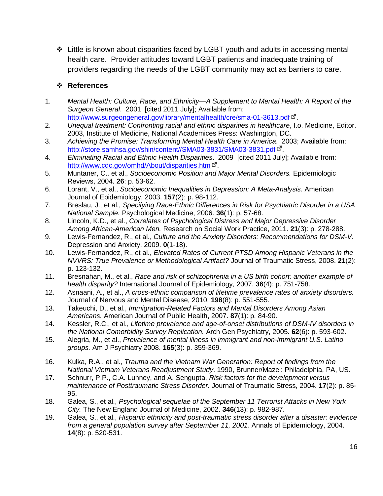$\div$  Little is known about disparities faced by LGBT youth and adults in accessing mental health care. Provider attitudes toward LGBT patients and inadequate training of providers regarding the needs of the LGBT community may act as barriers to care.

## **References**

- <span id="page-15-0"></span>1. *Mental Health: Culture, Race, and Ethnicity—A Supplement to Mental Health: A Report of the Surgeon General*. 2001 [cited 2011 July]; Available from: <http://www.surgeongeneral.gov/library/mentalhealth/cre/sma-01-3613.pdf>  $E$ .
- <span id="page-15-1"></span>2. *Unequal treatment: Confronting racial and ethnic disparities in healthcare*, I.o. Medicine, Editor. 2003, Institute of Medicine, National Academices Press: Washington, DC.
- <span id="page-15-2"></span>3. *Achieving the Promise: Transforming Mental Health Care in America*. 2003; Available from: [http://store.samhsa.gov/shin/content//SMA03-3831/SMA03-3831.pdf](http://store.samhsa.gov/shin/content/SMA03-3831/SMA03-3831.pdf)  $E$ .
- <span id="page-15-3"></span>4. *Eliminating Racial and Ethnic Health Disparities*. 2009 [cited 2011 July]; Available from: <http://www.cdc.gov/omhd/About/disparities.htm> L
- <span id="page-15-4"></span>5. Muntaner, C., et al., *Socioeconomic Position and Major Mental Disorders.* Epidemiologic Reviews, 2004. **26**: p. 53-62.
- <span id="page-15-5"></span>6. Lorant, V., et al., *Socioeconomic Inequalities in Depression: A Meta-Analysis.* American Journal of Epidemiology, 2003. **157**(2): p. 98-112.
- <span id="page-15-6"></span>7. Breslau, J., et al., *Specifying Race-Ethnic Differences in Risk for Psychiatric Disorder in a USA National Sample.* Psychological Medicine, 2006. **36**(1): p. 57-68.
- 8. Lincoln, K.D., et al., *Correlates of Psychological Distress and Major Depressive Disorder Among African-American Men.* Research on Social Work Practice, 2011. **21**(3): p. 278-288.
- <span id="page-15-7"></span>9. Lewis-Fernandez, R., et al., *Culture and the Anxiety Disorders: Recommendations for DSM-V.* Depression and Anxiety, 2009. **0**(1-18).
- <span id="page-15-11"></span>10. Lewis-Fernandez, R., et al., *Elevated Rates of Current PTSD Among Hispanic Veterans in the NVVRS: True Prevalence or Methodological Artifact?* Journal of Traumatic Stress, 2008. **21**(2): p. 123-132.
- <span id="page-15-8"></span>11. Bresnahan, M., et al., *Race and risk of schizophrenia in a US birth cohort: another example of health disparity?* International Journal of Epidemiology, 2007. **36**(4): p. 751-758.
- <span id="page-15-9"></span>12. Asnaani, A., et al., *A cross-ethnic comparison of lifetime prevalence rates of anxiety disorders.* Journal of Nervous and Mental Disease, 2010. **198**(8): p. 551-555.
- <span id="page-15-10"></span>13. Takeuchi, D., et al., *Immigration-Related Factors and Mental Disorders Among Asian Americans.* American Journal of Public Health, 2007. **87**(1): p. 84-90.
- <span id="page-15-12"></span>14. Kessler, R.C., et al., *Lifetime prevalence and age-of-onset distributions of DSM-IV disorders in the National Comorbidity Survey Replication.* Arch Gen Psychiatry, 2005. **62**(6): p. 593-602.
- <span id="page-15-13"></span>15. Alegria, M., et al., *Prevalence of mental illness in immigrant and non-immigrant U.S. Latino groups.* Am J Psychiatry 2008. **165**(3): p. 359-369.
- <span id="page-15-14"></span>16. Kulka, R.A., et al., *Trauma and the Vietnam War Generation: Report of findings from the National Vietnam Veterans Readjustment Study*. 1990, Brunner/Mazel: Philadelphia, PA, US.
- <span id="page-15-15"></span>17. Schnurr, P.P., C.A. Lunney, and A. Sengupta, *Risk factors for the development versus maintenance of Posttraumatic Stress Disorder.* Journal of Traumatic Stress, 2004. **17**(2): p. 85- 95.
- <span id="page-15-16"></span>18. Galea, S., et al., *Psychological sequelae of the September 11 Terrorist Attacks in New York City.* The New England Journal of Medicine, 2002. **346**(13): p. 982-987.
- 19. Galea, S., et al., *Hispanic ethnicity and post-traumatic stress disorder after a disaster: evidence from a general population survey after September 11, 2001.* Annals of Epidemiology, 2004. **14**(8): p. 520-531.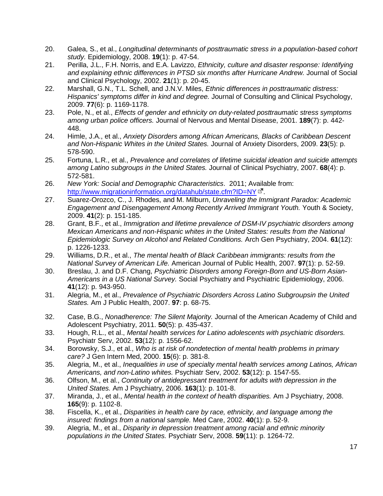- 20. Galea, S., et al., *Longitudinal determinants of posttraumatic stress in a population-based cohort study.* Epidemiology, 2008. **19**(1): p. 47-54.
- <span id="page-16-0"></span>21. Perilla, J.L., F.H. Norris, and E.A. Lavizzo, *Ethnicity, culture and disaster response: Identifying and explaining ethnic differences in PTSD six months after Hurricane Andrew.* Journal of Social and Clinical Psychology, 2002. **21**(1): p. 20-45.
- <span id="page-16-1"></span>22. Marshall, G.N., T.L. Schell, and J.N.V. Miles, *Ethnic differences in posttraumatic distress: Hispanics' symptoms differ in kind and degree.* Journal of Consulting and Clinical Psychology, 2009. **77**(6): p. 1169-1178.
- <span id="page-16-2"></span>23. Pole, N., et al., *Effects of gender and ethnicity on duty-related posttraumatic stress symptoms among urban police officers.* Journal of Nervous and Mental Disease, 2001. **189**(7): p. 442- 448.
- <span id="page-16-3"></span>24. Himle, J.A., et al., *Anxiety Disorders among African Americans, Blacks of Caribbean Descent and Non-Hispanic Whites in the United States.* Journal of Anxiety Disorders, 2009. **23**(5): p. 578-590.
- <span id="page-16-4"></span>25. Fortuna, L.R., et al., *Prevalence and correlates of lifetime suicidal ideation and suicide attempts among Latino subgroups in the United States.* Journal of Clinical Psychiatry, 2007. **68**(4): p. 572-581.
- <span id="page-16-5"></span>26. *New York: Social and Demographic Characteristics*. 2011; Available from: <http://www.migrationinformation.org/datahub/state.cfm?ID=NY>  $\mathbb{F}$ .
- <span id="page-16-6"></span>27. Suarez-Orozco, C., J. Rhodes, and M. Milburn, *Unraveling the Immigrant Paradox: Academic Engagement and Disengagement Among Recently Arrived Immigrant Youth.* Youth & Society, 2009. **41**(2): p. 151-185.
- <span id="page-16-7"></span>28. Grant, B.F., et al., *Immigration and lifetime prevalence of DSM-IV psychiatric disorders among Mexican Americans and non-Hispanic whites in the United States: results from the National Epidemiologic Survey on Alcohol and Related Conditions.* Arch Gen Psychiatry, 2004. **61**(12): p. 1226-1233.
- <span id="page-16-8"></span>29. Williams, D.R., et al., *The mental health of Black Caribbean immigrants: results from the National Survey of American Life.* American Journal of Public Health, 2007. **97**(1): p. 52-59.
- <span id="page-16-9"></span>30. Breslau, J. and D.F. Chang, *Psychiatric Disorders among Foreign-Born and US-Born Asian-Americans in a US National Survey.* Social Psychiatry and Psychiatric Epidemiology, 2006. **41**(12): p. 943-950.
- <span id="page-16-10"></span>31. Alegria, M., et al., *Prevalence of Psychiatric Disorders Across Latino Subgroupsin the United States.* Am J Public Health, 2007. **97**: p. 68-75.
- <span id="page-16-11"></span>32. Case, B.G., *Nonadherence: The Silent Majority.* Journal of the American Academy of Child and Adolescent Psychiatry, 2011. **50**(5): p. 435-437.
- <span id="page-16-12"></span>33. Hough, R.L., et al., *Mental health services for Latino adolescents with psychiatric disorders.* Psychiatr Serv, 2002. **53**(12): p. 1556-62.
- <span id="page-16-13"></span>34. Borowsky, S.J., et al., *Who is at risk of nondetection of mental health problems in primary care?* J Gen Intern Med, 2000. **15**(6): p. 381-8.
- 35. Alegria, M., et al., *Inequalities in use of specialty mental health services among Latinos, African Americans, and non-Latino whites.* Psychiatr Serv, 2002. **53**(12): p. 1547-55.
- 36. Olfson, M., et al., *Continuity of antidepressant treatment for adults with depression in the United States.* Am J Psychiatry, 2006. **163**(1): p. 101-8.
- <span id="page-16-14"></span>37. Miranda, J., et al., *Mental health in the context of health disparities.* Am J Psychiatry, 2008. **165**(9): p. 1102-8.
- <span id="page-16-15"></span>38. Fiscella, K., et al., *Disparities in health care by race, ethnicity, and language among the insured: findings from a national sample.* Med Care, 2002. **40**(1): p. 52-9.
- <span id="page-16-16"></span>39. Alegria, M., et al., *Disparity in depression treatment among racial and ethnic minority populations in the United States.* Psychiatr Serv, 2008. **59**(11): p. 1264-72.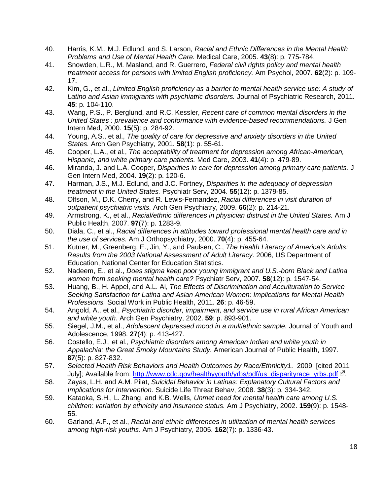- <span id="page-17-0"></span>40. Harris, K.M., M.J. Edlund, and S. Larson, *Racial and Ethnic Differences in the Mental Health Problems and Use of Mental Health Care.* Medical Care, 2005. **43**(8): p. 775-784.
- <span id="page-17-1"></span>41. Snowden, L.R., M. Masland, and R. Guerrero, *Federal civil rights policy and mental health treatment access for persons with limited English proficiency.* Am Psychol, 2007. **62**(2): p. 109- 17.
- <span id="page-17-2"></span>42. Kim, G., et al., *Limited English proficiency as a barrier to mental health service use: A study of Latino and Asian immigrants with psychiatric disorders.* Journal of Psychiatric Research, 2011. **45**: p. 104-110.
- <span id="page-17-3"></span>43. Wang, P.S., P. Berglund, and R.C. Kessler, *Recent care of common mental disorders in the United States : prevalence and conformance with evidence-based recommendations.* J Gen Intern Med, 2000. **15**(5): p. 284-92.
- <span id="page-17-4"></span>44. Young, A.S., et al., *The quality of care for depressive and anxiety disorders in the United States.* Arch Gen Psychiatry, 2001. **58**(1): p. 55-61.
- <span id="page-17-5"></span>45. Cooper, L.A., et al., *The acceptability of treatment for depression among African-American, Hispanic, and white primary care patients.* Med Care, 2003. **41**(4): p. 479-89.
- 46. Miranda, J. and L.A. Cooper, *Disparities in care for depression among primary care patients.* J Gen Intern Med, 2004. **19**(2): p. 120-6.
- 47. Harman, J.S., M.J. Edlund, and J.C. Fortney, *Disparities in the adequacy of depression treatment in the United States.* Psychiatr Serv, 2004. **55**(12): p. 1379-85.
- <span id="page-17-6"></span>48. Olfson, M., D.K. Cherry, and R. Lewis-Fernandez, *Racial differences in visit duration of outpatient psychiatric visits.* Arch Gen Psychiatry, 2009. **66**(2): p. 214-21.
- <span id="page-17-7"></span>49. Armstrong, K., et al., *Racial/ethnic differences in physician distrust in the United States.* Am J Public Health, 2007. **97**(7): p. 1283-9.
- <span id="page-17-8"></span>50. Diala, C., et al., *Racial differences in attitudes toward professional mental health care and in the use of services.* Am J Orthopsychiatry, 2000. **70**(4): p. 455-64.
- <span id="page-17-9"></span>51. Kutner, M., Greenberg, E., Jin, Y., and Paulsen, C., *The Health Literacy of America's Adults: Results from the 2003 National Assessment of Adult Literacy*. 2006, US Department of Education, National Center for Education Statistics.
- <span id="page-17-10"></span>52. Nadeem, E., et al., *Does stigma keep poor young immigrant and U.S.-born Black and Latina women from seeking mental health care?* Psychiatr Serv, 2007. **58**(12): p. 1547-54.
- <span id="page-17-11"></span>53. Huang, B., H. Appel, and A.L. Ai, *The Effects of Discrimination and Acculturation to Service Seeking Satisfaction for Latina and Asian American Women: Implications for Mental Health Professions.* Social Work in Public Health, 2011. **26**: p. 46-59.
- <span id="page-17-12"></span>54. Angold, A., et al., *Psychiatric disorder, impairment, and service use in rural African American and white youth.* Arch Gen Psychiatry, 2002. **59**: p. 893-901.
- <span id="page-17-13"></span>55. Siegel, J.M., et al., *Adolescent depressed mood in a multiethnic sample.* Journal of Youth and Adolescence, 1998. **27**(4): p. 413-427.
- <span id="page-17-14"></span>56. Costello, E.J., et al., *Psychiatric disorders among American Indian and white youth in Appalachia: the Great Smoky Mountains Study.* American Journal of Public Health, 1997. **87**(5): p. 827-832.
- <span id="page-17-15"></span>57. *Selected Health Risk Behaviors and Health Outcomes by Race/Ethnicity1*. 2009 [cited 2011 July]; Available from: [http://www.cdc.gov/healthyyouth/yrbs/pdf/us\\_disparityrace\\_yrbs.pdf](http://www.cdc.gov/healthyyouth/yrbs/pdf/us_disparityrace_yrbs.pdf)  $\mathbb{E}$ .
- <span id="page-17-16"></span>58. Zayas, L.H. and A.M. Pilat, *Suicidal Behavior in Latinas: Explanatory Cultural Factors and Implications for Intervention.* Suicide Life Threat Behav, 2008. **38**(3): p. 334-342.
- <span id="page-17-17"></span>59. Kataoka, S.H., L. Zhang, and K.B. Wells, *Unmet need for mental health care among U.S. children: variation by ethnicity and insurance status.* Am J Psychiatry, 2002. **159**(9): p. 1548- 55.
- <span id="page-17-18"></span>60. Garland, A.F., et al., *Racial and ethnic differences in utilization of mental health services among high-risk youths.* Am J Psychiatry, 2005. **162**(7): p. 1336-43.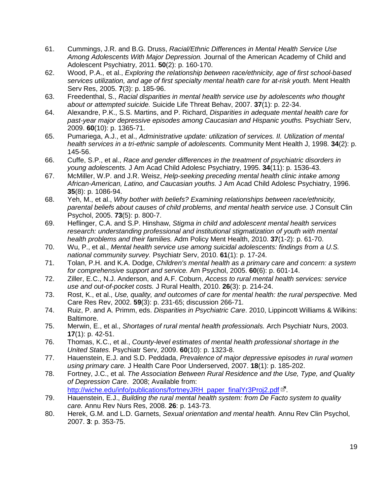- <span id="page-18-0"></span>61. Cummings, J.R. and B.G. Druss, *Racial/Ethnic Differences in Mental Health Service Use Among Adolescents With Major Depression.* Journal of the American Academy of Child and Adolescent Psychiatry, 2011. **50**(2): p. 160-170.
- <span id="page-18-1"></span>62. Wood, P.A., et al., *Exploring the relationship between race/ethnicity, age of first school-based services utilization, and age of first specialty mental health care for at-risk youth.* Ment Health Serv Res, 2005. **7**(3): p. 185-96.
- <span id="page-18-2"></span>63. Freedenthal, S., *Racial disparities in mental health service use by adolescents who thought about or attempted suicide.* Suicide Life Threat Behav, 2007. **37**(1): p. 22-34.
- <span id="page-18-3"></span>64. Alexandre, P.K., S.S. Martins, and P. Richard, *Disparities in adequate mental health care for past-year major depressive episodes among Caucasian and Hispanic youths.* Psychiatr Serv, 2009. **60**(10): p. 1365-71.
- <span id="page-18-4"></span>65. Pumariega, A.J., et al., *Administrative update: utilization of services. II. Utilization of mental health services in a tri-ethnic sample of adolescents.* Community Ment Health J, 1998. **34**(2): p. 145-56.
- <span id="page-18-5"></span>66. Cuffe, S.P., et al., *Race and gender differences in the treatment of psychiatric disorders in young adolescents.* J Am Acad Child Adolesc Psychiatry, 1995. **34**(11): p. 1536-43.
- <span id="page-18-6"></span>67. McMiller, W.P. and J.R. Weisz, *Help-seeking preceding mental health clinic intake among African-American, Latino, and Caucasian youths.* J Am Acad Child Adolesc Psychiatry, 1996. **35**(8): p. 1086-94.
- <span id="page-18-7"></span>68. Yeh, M., et al., *Why bother with beliefs? Examining relationships between race/ethnicity, parental beliefs about causes of child problems, and mental health service use.* J Consult Clin Psychol, 2005. **73**(5): p. 800-7.
- <span id="page-18-8"></span>69. Heflinger, C.A. and S.P. Hinshaw, *Stigma in child and adolescent mental health services research: understanding professional and institutional stigmatization of youth with mental health problems and their families.* Adm Policy Ment Health, 2010. **37**(1-2): p. 61-70.
- <span id="page-18-9"></span>70. Wu, P., et al., *Mental health service use among suicidal adolescents: findings from a U.S. national community survey.* Psychiatr Serv, 2010. **61**(1): p. 17-24.
- <span id="page-18-10"></span>71. Tolan, P.H. and K.A. Dodge, *Children's mental health as a primary care and concern: a system for comprehensive support and service.* Am Psychol, 2005. **60**(6): p. 601-14.
- <span id="page-18-11"></span>72. Ziller, E.C., N.J. Anderson, and A.F. Coburn, *Access to rural mental health services: service use and out-of-pocket costs.* J Rural Health, 2010. **26**(3): p. 214-24.
- <span id="page-18-12"></span>73. Rost, K., et al., *Use, quality, and outcomes of care for mental health: the rural perspective.* Med Care Res Rev, 2002. **59**(3): p. 231-65; discussion 266-71.
- <span id="page-18-13"></span>74. Ruiz, P. and A. Primm, eds. *Disparities in Psychiatric Care*. 2010, Lippincott Williams & Wilkins: Baltimore.
- <span id="page-18-14"></span>75. Merwin, E., et al., *Shortages of rural mental health professionals.* Arch Psychiatr Nurs, 2003. **17**(1): p. 42-51.
- <span id="page-18-15"></span>76. Thomas, K.C., et al., *County-level estimates of mental health professional shortage in the United States.* Psychiatr Serv, 2009. **60**(10): p. 1323-8.
- <span id="page-18-16"></span>77. Hauenstein, E.J. and S.D. Peddada, *Prevalence of major depressive episodes in rural women using primary care.* J Health Care Poor Underserved, 2007. **18**(1): p. 185-202.
- <span id="page-18-17"></span>78. Fortney, J.C., et al. *The Association Between Rural Residence and the Use, Type, and Quality of Depression Care*. 2008; Available from: [http://wiche.edu/info/publications/fortneyJRH\\_paper\\_finalYr3Proj2.pdf](http://wiche.edu/info/publications/fortneyJRH_paper_finalYr3Proj2.pdf) L
- <span id="page-18-18"></span>79. Hauenstein, E.J., *Building the rural mental health system: from De Facto system to quality care.* Annu Rev Nurs Res, 2008. **26**: p. 143-73.
- <span id="page-18-19"></span>80. Herek, G.M. and L.D. Garnets, *Sexual orientation and mental health.* Annu Rev Clin Psychol, 2007. **3**: p. 353-75.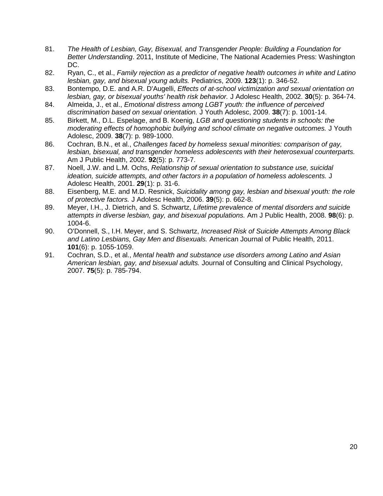- <span id="page-19-0"></span>81. *The Health of Lesbian, Gay, Bisexual, and Transgender People: Building a Foundation for Better Understanding*. 2011, Institute of Medicine, The National Academies Press: Washington DC.
- <span id="page-19-1"></span>82. Ryan, C., et al., *Family rejection as a predictor of negative health outcomes in white and Latino lesbian, gay, and bisexual young adults.* Pediatrics, 2009. **123**(1): p. 346-52.
- <span id="page-19-2"></span>83. Bontempo, D.E. and A.R. D'Augelli, *Effects of at-school victimization and sexual orientation on lesbian, gay, or bisexual youths' health risk behavior.* J Adolesc Health, 2002. **30**(5): p. 364-74.
- <span id="page-19-4"></span>84. Almeida, J., et al., *Emotional distress among LGBT youth: the influence of perceived discrimination based on sexual orientation.* J Youth Adolesc, 2009. **38**(7): p. 1001-14.
- <span id="page-19-3"></span>85. Birkett, M., D.L. Espelage, and B. Koenig, *LGB and questioning students in schools: the moderating effects of homophobic bullying and school climate on negative outcomes.* J Youth Adolesc, 2009. **38**(7): p. 989-1000.
- <span id="page-19-5"></span>86. Cochran, B.N., et al., *Challenges faced by homeless sexual minorities: comparison of gay, lesbian, bisexual, and transgender homeless adolescents with their heterosexual counterparts.* Am J Public Health, 2002. **92**(5): p. 773-7.
- <span id="page-19-6"></span>87. Noell, J.W. and L.M. Ochs, *Relationship of sexual orientation to substance use, suicidal ideation, suicide attempts, and other factors in a population of homeless adolescents.* J Adolesc Health, 2001. **29**(1): p. 31-6.
- <span id="page-19-7"></span>88. Eisenberg, M.E. and M.D. Resnick, *Suicidality among gay, lesbian and bisexual youth: the role of protective factors.* J Adolesc Health, 2006. **39**(5): p. 662-8.
- <span id="page-19-8"></span>89. Meyer, I.H., J. Dietrich, and S. Schwartz, *Lifetime prevalence of mental disorders and suicide attempts in diverse lesbian, gay, and bisexual populations.* Am J Public Health, 2008. **98**(6): p. 1004-6.
- <span id="page-19-9"></span>90. O'Donnell, S., I.H. Meyer, and S. Schwartz, *Increased Risk of Suicide Attempts Among Black and Latino Lesbians, Gay Men and Bisexuals.* American Journal of Public Health, 2011. **101**(6): p. 1055-1059.
- <span id="page-19-10"></span>91. Cochran, S.D., et al., *Mental health and substance use disorders among Latino and Asian American lesbian, gay, and bisexual adults.* Journal of Consulting and Clinical Psychology, 2007. **75**(5): p. 785-794.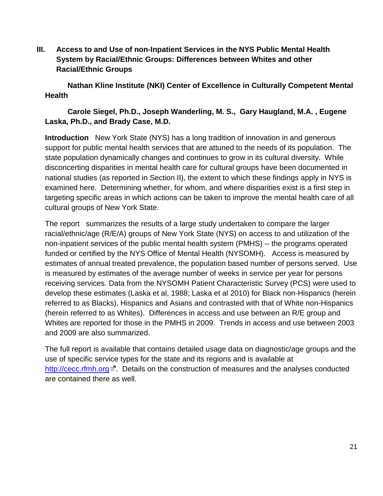<span id="page-20-0"></span>**III. Access to and Use of non-Inpatient Services in the NYS Public Mental Health System by Racial/Ethnic Groups: Differences between Whites and other Racial/Ethnic Groups**

 **Nathan Kline Institute (NKI) Center of Excellence in Culturally Competent Mental Health** 

# **Carole Siegel, Ph.D., Joseph Wanderling, M. S., Gary Haugland, M.A. , Eugene Laska, Ph.D., and Brady Case, M.D.**

**Introduction** New York State (NYS) has a long tradition of innovation in and generous support for public mental health services that are attuned to the needs of its population. The state population dynamically changes and continues to grow in its cultural diversity. While disconcerting disparities in mental health care for cultural groups have been documented in national studies (as reported in Section II), the extent to which these findings apply in NYS is examined here. Determining whether, for whom, and where disparities exist is a first step in targeting specific areas in which actions can be taken to improve the mental health care of all cultural groups of New York State.

The report summarizes the results of a large study undertaken to compare the larger racial/ethnic/age (R/E/A) groups of New York State (NYS) on access to and utilization of the non-inpatient services of the public mental health system (PMHS) -- the programs operated funded or certified by the NYS Office of Mental Health (NYSOMH). Access is measured by estimates of annual treated prevalence, the population based number of persons served. Use is measured by estimates of the average number of weeks in service per year for persons receiving services. Data from the NYSOMH Patient Characteristic Survey (PCS) were used to develop these estimates (Laska et al, 1988; Laska et al 2010) for Black non-Hispanics (herein referred to as Blacks), Hispanics and Asians and contrasted with that of White non-Hispanics (herein referred to as Whites). Differences in access and use between an R/E group and Whites are reported for those in the PMHS in 2009. Trends in access and use between 2003 and 2009 are also summarized.

The full report is available that contains detailed usage data on diagnostic/age groups and the use of specific service types for the state and its regions and is available at [http://cecc.rfmh.org](http://cecc.rfmh.org/)  $\mathbb{E}^{\bullet}$ . Details on the construction of measures and the analyses conducted are contained there as well.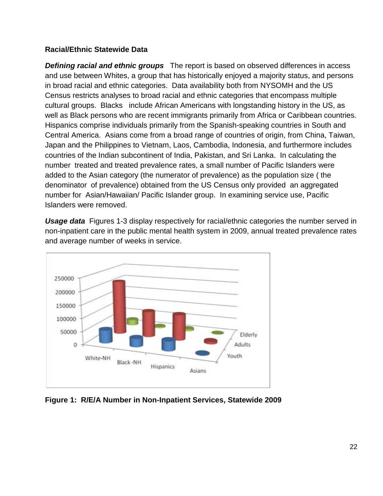## **Racial/Ethnic Statewide Data**

*Defining racial and ethnic groups* The report is based on observed differences in access and use between Whites, a group that has historically enjoyed a majority status, and persons in broad racial and ethnic categories. Data availability both from NYSOMH and the US Census restricts analyses to broad racial and ethnic categories that encompass multiple cultural groups. Blacks include African Americans with longstanding history in the US, as well as Black persons who are recent immigrants primarily from Africa or Caribbean countries. Hispanics comprise individuals primarily from the Spanish-speaking countries in South and Central America. Asians come from a broad range of countries of origin, from China, Taiwan, Japan and the Philippines to Vietnam, Laos, Cambodia, Indonesia, and furthermore includes countries of the Indian subcontinent of India, Pakistan, and Sri Lanka. In calculating the number treated and treated prevalence rates, a small number of Pacific Islanders were added to the Asian category (the numerator of prevalence) as the population size ( the denominator of prevalence) obtained from the US Census only provided an aggregated number for Asian/Hawaiian/ Pacific Islander group. In examining service use, Pacific Islanders were removed.

*Usage data* Figures 1-3 display respectively for racial/ethnic categories the number served in non-inpatient care in the public mental health system in 2009, annual treated prevalence rates and average number of weeks in service.



**Figure 1: R/E/A Number in Non-Inpatient Services, Statewide 2009**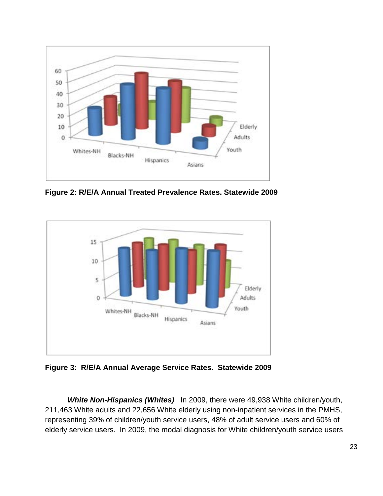

**Figure 2: R/E/A Annual Treated Prevalence Rates. Statewide 2009**



**Figure 3: R/E/A Annual Average Service Rates. Statewide 2009**

*White Non-Hispanics (Whites)* In 2009, there were 49,938 White children/youth, 211,463 White adults and 22,656 White elderly using non-inpatient services in the PMHS, representing 39% of children/youth service users, 48% of adult service users and 60% of elderly service users. In 2009, the modal diagnosis for White children/youth service users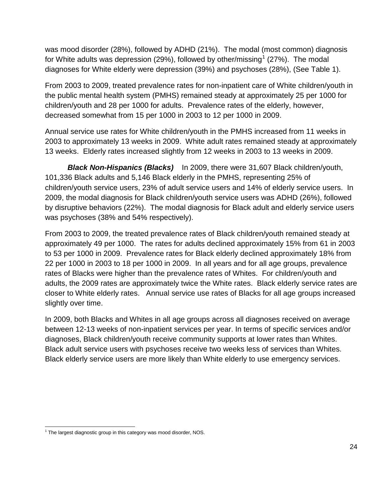was mood disorder (28%), followed by ADHD (21%). The modal (most common) diagnosis for White adults was depression (29%), followed by other/missing<sup>[1](#page-23-0)</sup> (27%). The modal diagnoses for White elderly were depression (39%) and psychoses (28%), (See Table 1).

From 2003 to 2009, treated prevalence rates for non-inpatient care of White children/youth in the public mental health system (PMHS) remained steady at approximately 25 per 1000 for children/youth and 28 per 1000 for adults. Prevalence rates of the elderly, however, decreased somewhat from 15 per 1000 in 2003 to 12 per 1000 in 2009.

Annual service use rates for White children/youth in the PMHS increased from 11 weeks in 2003 to approximately 13 weeks in 2009. White adult rates remained steady at approximately 13 weeks. Elderly rates increased slightly from 12 weeks in 2003 to 13 weeks in 2009.

*Black Non-Hispanics (Blacks)*In 2009, there were 31,607 Black children/youth, 101,336 Black adults and 5,146 Black elderly in the PMHS, representing 25% of children/youth service users, 23% of adult service users and 14% of elderly service users. In 2009, the modal diagnosis for Black children/youth service users was ADHD (26%), followed by disruptive behaviors (22%). The modal diagnosis for Black adult and elderly service users was psychoses (38% and 54% respectively).

From 2003 to 2009, the treated prevalence rates of Black children/youth remained steady at approximately 49 per 1000. The rates for adults declined approximately 15% from 61 in 2003 to 53 per 1000 in 2009. Prevalence rates for Black elderly declined approximately 18% from 22 per 1000 in 2003 to 18 per 1000 in 2009. In all years and for all age groups, prevalence rates of Blacks were higher than the prevalence rates of Whites. For children/youth and adults, the 2009 rates are approximately twice the White rates. Black elderly service rates are closer to White elderly rates. Annual service use rates of Blacks for all age groups increased slightly over time.

In 2009, both Blacks and Whites in all age groups across all diagnoses received on average between 12-13 weeks of non-inpatient services per year. In terms of specific services and/or diagnoses, Black children/youth receive community supports at lower rates than Whites. Black adult service users with psychoses receive two weeks less of services than Whites. Black elderly service users are more likely than White elderly to use emergency services.

<span id="page-23-0"></span> $\overline{a}$  $1$  The largest diagnostic group in this category was mood disorder, NOS.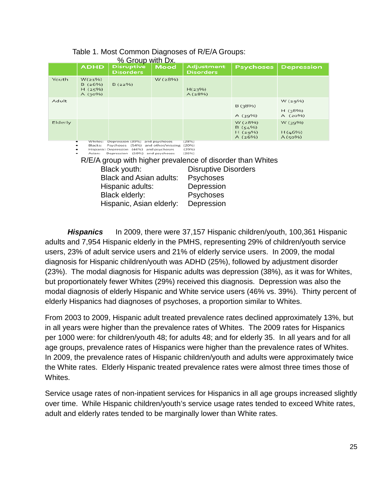|         | <b>ADHD</b>                          | <u>% Group with Dx.</u><br><b>Disruptive</b><br><b>Disorders</b>                                                                                                                                                                                                      | <b>Mood</b> | Adjustment<br><b>Disorders</b>                                                                                                                                                           | <b>Psychoses</b>                      | <b>Depression</b>              |
|---------|--------------------------------------|-----------------------------------------------------------------------------------------------------------------------------------------------------------------------------------------------------------------------------------------------------------------------|-------------|------------------------------------------------------------------------------------------------------------------------------------------------------------------------------------------|---------------------------------------|--------------------------------|
| Youth   | W(21%)<br>B(26%)<br>H(25%)<br>A(30%) | B(22%)                                                                                                                                                                                                                                                                | W (28%)     | H(23%)<br>A(28%)                                                                                                                                                                         |                                       |                                |
| Adult   |                                      |                                                                                                                                                                                                                                                                       |             |                                                                                                                                                                                          | B(38%)<br>A $(39%)$                   | W(29%)<br>H(38%)<br>A $(20\%)$ |
| Elderly |                                      |                                                                                                                                                                                                                                                                       |             | (28%)                                                                                                                                                                                    | W (28%)<br>B(54%)<br>H(29%)<br>A(26%) | W(39%)<br>H(46%)<br>A(50%)     |
|         | Whites:<br>Blacks:<br>Asian:         | Depression (39%) and psychoses<br>Psychoses (54%) and other/missing<br>Hispanic: Depression (46%) and psychoses<br>Depression (50%) and psychoses<br>Black youth:<br><b>Black and Asian adults:</b><br>Hispanic adults:<br>Black elderly:<br>Hispanic, Asian elderly: |             | (20%)<br>(29%)<br>(26%)<br>R/E/A group with higher prevalence of disorder than Whites<br><b>Disruptive Disorders</b><br><b>Psychoses</b><br>Depression<br><b>Psychoses</b><br>Depression |                                       |                                |

#### Table 1. Most Common Diagnoses of R/E/A Groups:  $\alpha$  Croup with  $\overline{\phantom{a}}$

*Hispanics* In 2009, there were 37,157 Hispanic children/youth, 100,361 Hispanic adults and 7,954 Hispanic elderly in the PMHS, representing 29% of children/youth service users, 23% of adult service users and 21% of elderly service users. In 2009, the modal diagnosis for Hispanic children/youth was ADHD (25%), followed by adjustment disorder (23%). The modal diagnosis for Hispanic adults was depression (38%), as it was for Whites, but proportionately fewer Whites (29%) received this diagnosis. Depression was also the modal diagnosis of elderly Hispanic and White service users (46% vs. 39%). Thirty percent of elderly Hispanics had diagnoses of psychoses, a proportion similar to Whites.

From 2003 to 2009, Hispanic adult treated prevalence rates declined approximately 13%, but in all years were higher than the prevalence rates of Whites. The 2009 rates for Hispanics per 1000 were: for children/youth 48; for adults 48; and for elderly 35. In all years and for all age groups, prevalence rates of Hispanics were higher than the prevalence rates of Whites. In 2009, the prevalence rates of Hispanic children/youth and adults were approximately twice the White rates. Elderly Hispanic treated prevalence rates were almost three times those of Whites.

Service usage rates of non-inpatient services for Hispanics in all age groups increased slightly over time. While Hispanic children/youth's service usage rates tended to exceed White rates, adult and elderly rates tended to be marginally lower than White rates.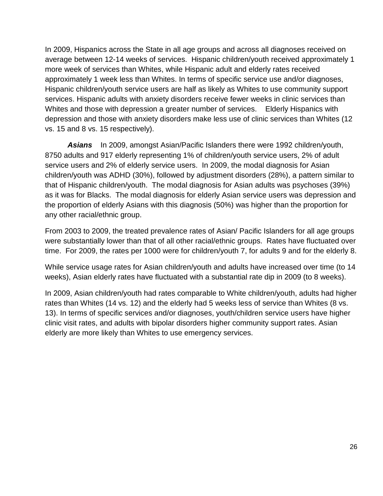In 2009, Hispanics across the State in all age groups and across all diagnoses received on average between 12-14 weeks of services. Hispanic children/youth received approximately 1 more week of services than Whites, while Hispanic adult and elderly rates received approximately 1 week less than Whites. In terms of specific service use and/or diagnoses, Hispanic children/youth service users are half as likely as Whites to use community support services. Hispanic adults with anxiety disorders receive fewer weeks in clinic services than Whites and those with depression a greater number of services. Elderly Hispanics with depression and those with anxiety disorders make less use of clinic services than Whites (12 vs. 15 and 8 vs. 15 respectively).

 *Asians*In 2009, amongst Asian/Pacific Islanders there were 1992 children/youth, 8750 adults and 917 elderly representing 1% of children/youth service users, 2% of adult service users and 2% of elderly service users. In 2009, the modal diagnosis for Asian children/youth was ADHD (30%), followed by adjustment disorders (28%), a pattern similar to that of Hispanic children/youth. The modal diagnosis for Asian adults was psychoses (39%) as it was for Blacks. The modal diagnosis for elderly Asian service users was depression and the proportion of elderly Asians with this diagnosis (50%) was higher than the proportion for any other racial/ethnic group.

From 2003 to 2009, the treated prevalence rates of Asian/ Pacific Islanders for all age groups were substantially lower than that of all other racial/ethnic groups. Rates have fluctuated over time. For 2009, the rates per 1000 were for children/youth 7, for adults 9 and for the elderly 8.

While service usage rates for Asian children/youth and adults have increased over time (to 14 weeks), Asian elderly rates have fluctuated with a substantial rate dip in 2009 (to 8 weeks).

In 2009, Asian children/youth had rates comparable to White children/youth, adults had higher rates than Whites (14 vs. 12) and the elderly had 5 weeks less of service than Whites (8 vs. 13). In terms of specific services and/or diagnoses, youth/children service users have higher clinic visit rates, and adults with bipolar disorders higher community support rates. Asian elderly are more likely than Whites to use emergency services.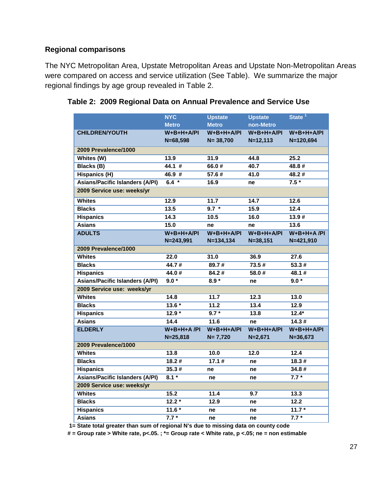# **Regional comparisons**

The NYC Metropolitan Area, Upstate Metropolitan Areas and Upstate Non-Metropolitan Areas were compared on access and service utilization (See Table). We summarize the major regional findings by age group revealed in Table 2.

|                                        | <b>NYC</b>    | <b>Upstate</b>    | <b>Upstate</b> | State <sup>1</sup> |
|----------------------------------------|---------------|-------------------|----------------|--------------------|
|                                        | <b>Metro</b>  | <b>Metro</b>      | non-Metro      |                    |
| <b>CHILDREN/YOUTH</b>                  | $W+B+H+A/PI$  | $W+B+H+A/PI$      | $W+B+H+A/PI$   | $W+B+H+A/PI$       |
|                                        | $N = 68,598$  | $N = 38,700$      | $N = 12, 113$  | $N = 120,694$      |
| 2009 Prevalence/1000                   |               |                   |                |                    |
| Whites (W)                             | 13.9          | 31.9              | 44.8           | 25.2               |
| <b>Blacks (B)</b>                      | 44.1#         | 66.0#             | 40.7           | 48.8#              |
| <b>Hispanics (H)</b>                   | 46.9 #        | 57.6#             | 41.0           | 48.2#              |
| <b>Asians/Pacific Islanders (A/PI)</b> | $6.4 *$       | 16.9              | ne             | $7.5*$             |
| 2009 Service use: weeks/yr             |               |                   |                |                    |
| <b>Whites</b>                          | 12.9          | 11.7              | 14.7           | 12.6               |
| <b>Blacks</b>                          | 13.5          | $9.7 *$           | 15.9           | 12.4               |
| <b>Hispanics</b>                       | 14.3          | 10.5              | 16.0           | 13.9#              |
| <b>Asians</b>                          | 15.0          | ne                | ne             | 13.6               |
| <b>ADULTS</b>                          | $W+B+H+A/PI$  | $W+B+H+A/PI$      | $W+B+H+A/PI$   | $W+B+H+A/PI$       |
|                                        | $N = 243,991$ | $N = 134, 134$    | $N = 38, 151$  | N=421,910          |
| 2009 Prevalence/1000                   |               |                   |                |                    |
| <b>Whites</b>                          | 22.0          | 31.0              | 36.9           | 27.6               |
| <b>Blacks</b>                          | 44.7#         | 89.7#             | 73.5#          | 53.3#              |
| <b>Hispanics</b>                       | 44.0#         | 84.2#             | 58.0#          | 48.1#              |
| <b>Asians/Pacific Islanders (A/PI)</b> | $9.0*$        | $8.9*$            | ne             | $9.0*$             |
| 2009 Service use: weeks/yr             |               |                   |                |                    |
| <b>Whites</b>                          | 14.8          | 11.7              | 12.3           | 13.0               |
| <b>Blacks</b>                          | $13.6*$       | 11.2              | 13.4           | 12.9               |
| <b>Hispanics</b>                       | $12.9*$       | $9.7 *$           | 13.8           | $12.4*$            |
| <b>Asians</b>                          | 14.4          | $\overline{11.6}$ | ne             | 14.3#              |
| <b>ELDERLY</b>                         | $W+B+H+A/PI$  | $W+B+H+A/PI$      | $W+B+H+A/PI$   | $W+B+H+A/PI$       |
|                                        | $N = 25,818$  | $N = 7,720$       | $N = 2,671$    | $N = 36,673$       |
| 2009 Prevalence/1000                   |               |                   |                |                    |
| <b>Whites</b>                          | 13.8          | 10.0              | 12.0           | 12.4               |
| <b>Blacks</b>                          | 18.2#         | 17.1#             | ne             | 18.3#              |
| <b>Hispanics</b>                       | 35.3#         | ne                | ne             | 34.8#              |
| <b>Asians/Pacific Islanders (A/PI)</b> | $8.1*$        | ne                | ne             | $7.7*$             |
| 2009 Service use: weeks/yr             |               |                   |                |                    |
| <b>Whites</b>                          | 15.2          | 11.4              | 9.7            | 13.3               |
| <b>Blacks</b>                          | $12.2*$       | 12.9              | ne             | 12.2               |
| <b>Hispanics</b>                       | $11.6*$       | ne                | ne             | $11.7*$            |
| <b>Asians</b>                          | $7.7*$        | ne                | ne             | $7.7*$             |

# **Table 2: 2009 Regional Data on Annual Prevalence and Service Use**

 **1= State total greater than sum of regional N's due to missing data on county code**

**# = Group rate > White rate, p<.05. ; \*= Group rate < White rate, p <.05; ne = non estimable**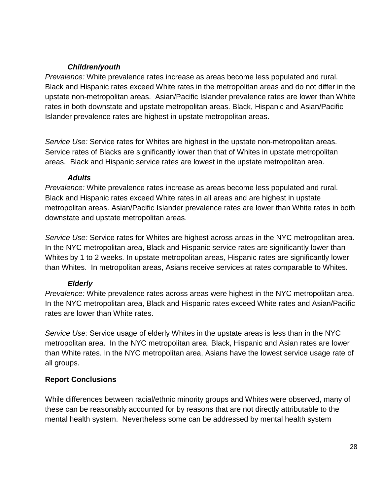# *Children/youth*

*Prevalence:* White prevalence rates increase as areas become less populated and rural. Black and Hispanic rates exceed White rates in the metropolitan areas and do not differ in the upstate non-metropolitan areas. Asian/Pacific Islander prevalence rates are lower than White rates in both downstate and upstate metropolitan areas. Black, Hispanic and Asian/Pacific Islander prevalence rates are highest in upstate metropolitan areas.

*Service Use:* Service rates for Whites are highest in the upstate non-metropolitan areas. Service rates of Blacks are significantly lower than that of Whites in upstate metropolitan areas. Black and Hispanic service rates are lowest in the upstate metropolitan area.

#### *Adults*

*Prevalence:* White prevalence rates increase as areas become less populated and rural. Black and Hispanic rates exceed White rates in all areas and are highest in upstate metropolitan areas. Asian/Pacific Islander prevalence rates are lower than White rates in both downstate and upstate metropolitan areas.

*Service Use:* Service rates for Whites are highest across areas in the NYC metropolitan area. In the NYC metropolitan area, Black and Hispanic service rates are significantly lower than Whites by 1 to 2 weeks. In upstate metropolitan areas, Hispanic rates are significantly lower than Whites.In metropolitan areas, Asians receive services at rates comparable to Whites.

# *Elderly*

*Prevalence:* White prevalence rates across areas were highest in the NYC metropolitan area. In the NYC metropolitan area, Black and Hispanic rates exceed White rates and Asian/Pacific rates are lower than White rates.

*Service Use:* Service usage of elderly Whites in the upstate areas is less than in the NYC metropolitan area. In the NYC metropolitan area, Black, Hispanic and Asian rates are lower than White rates. In the NYC metropolitan area, Asians have the lowest service usage rate of all groups.

# **Report Conclusions**

While differences between racial/ethnic minority groups and Whites were observed, many of these can be reasonably accounted for by reasons that are not directly attributable to the mental health system. Nevertheless some can be addressed by mental health system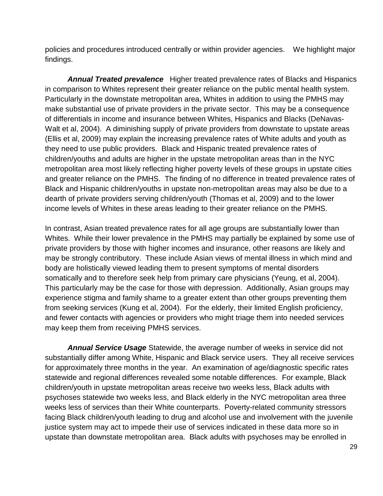policies and procedures introduced centrally or within provider agencies. We highlight major findings.

*Annual Treated prevalence* Higher treated prevalence rates of Blacks and Hispanics in comparison to Whites represent their greater reliance on the public mental health system. Particularly in the downstate metropolitan area, Whites in addition to using the PMHS may make substantial use of private providers in the private sector. This may be a consequence of differentials in income and insurance between Whites, Hispanics and Blacks (DeNavas-Walt et al, 2004). A diminishing supply of private providers from downstate to upstate areas (Ellis et al, 2009) may explain the increasing prevalence rates of White adults and youth as they need to use public providers. Black and Hispanic treated prevalence rates of children/youths and adults are higher in the upstate metropolitan areas than in the NYC metropolitan area most likely reflecting higher poverty levels of these groups in upstate cities and greater reliance on the PMHS. The finding of no difference in treated prevalence rates of Black and Hispanic children/youths in upstate non-metropolitan areas may also be due to a dearth of private providers serving children/youth (Thomas et al, 2009) and to the lower income levels of Whites in these areas leading to their greater reliance on the PMHS.

In contrast, Asian treated prevalence rates for all age groups are substantially lower than Whites. While their lower prevalence in the PMHS may partially be explained by some use of private providers by those with higher incomes and insurance, other reasons are likely and may be strongly contributory. These include Asian views of mental illness in which mind and body are holistically viewed leading them to present symptoms of mental disorders somatically and to therefore seek help from primary care physicians (Yeung, et al, 2004). This particularly may be the case for those with depression. Additionally, Asian groups may experience stigma and family shame to a greater extent than other groups preventing them from seeking services (Kung et al, 2004). For the elderly, their limited English proficiency, and fewer contacts with agencies or providers who might triage them into needed services may keep them from receiving PMHS services.

*Annual Service Usage* Statewide, the average number of weeks in service did not substantially differ among White, Hispanic and Black service users. They all receive services for approximately three months in the year. An examination of age/diagnostic specific rates statewide and regional differences revealed some notable differences. For example, Black children/youth in upstate metropolitan areas receive two weeks less, Black adults with psychoses statewide two weeks less, and Black elderly in the NYC metropolitan area three weeks less of services than their White counterparts. Poverty-related community stressors facing Black children/youth leading to drug and alcohol use and involvement with the juvenile justice system may act to impede their use of services indicated in these data more so in upstate than downstate metropolitan area. Black adults with psychoses may be enrolled in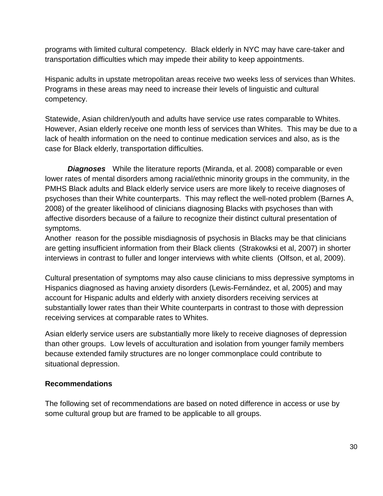programs with limited cultural competency. Black elderly in NYC may have care-taker and transportation difficulties which may impede their ability to keep appointments.

Hispanic adults in upstate metropolitan areas receive two weeks less of services than Whites. Programs in these areas may need to increase their levels of linguistic and cultural competency.

Statewide, Asian children/youth and adults have service use rates comparable to Whites. However, Asian elderly receive one month less of services than Whites. This may be due to a lack of health information on the need to continue medication services and also, as is the case for Black elderly, transportation difficulties.

*Diagnoses* While the literature reports (Miranda, et al. 2008) comparable or even lower rates of mental disorders among racial/ethnic minority groups in the community, in the PMHS Black adults and Black elderly service users are more likely to receive diagnoses of psychoses than their White counterparts. This may reflect the well-noted problem (Barnes A, 2008) of the greater likelihood of clinicians diagnosing Blacks with psychoses than with affective disorders because of a failure to recognize their distinct cultural presentation of symptoms.

Another reason for the possible misdiagnosis of psychosis in Blacks may be that clinicians are getting insufficient information from their Black clients (Strakowksi et al, 2007) in shorter interviews in contrast to fuller and longer interviews with white clients (Olfson, et al, 2009).

Cultural presentation of symptoms may also cause clinicians to miss depressive symptoms in Hispanics diagnosed as having anxiety disorders (Lewis-Fernández, et al, 2005) and may account for Hispanic adults and elderly with anxiety disorders receiving services at substantially lower rates than their White counterparts in contrast to those with depression receiving services at comparable rates to Whites.

Asian elderly service users are substantially more likely to receive diagnoses of depression than other groups. Low levels of acculturation and isolation from younger family members because extended family structures are no longer commonplace could contribute to situational depression.

## **Recommendations**

The following set of recommendations are based on noted difference in access or use by some cultural group but are framed to be applicable to all groups.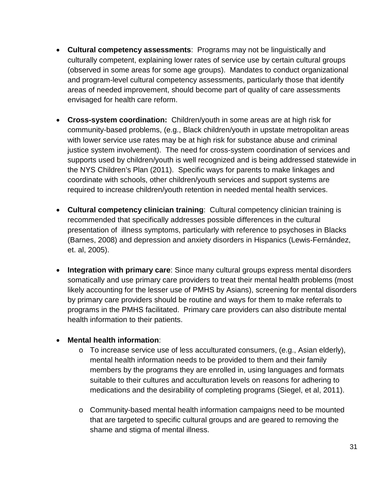- **Cultural competency assessments**: Programs may not be linguistically and culturally competent, explaining lower rates of service use by certain cultural groups (observed in some areas for some age groups). Mandates to conduct organizational and program-level cultural competency assessments, particularly those that identify areas of needed improvement, should become part of quality of care assessments envisaged for health care reform.
- **Cross-system coordination:** Children/youth in some areas are at high risk for community-based problems, (e.g., Black children/youth in upstate metropolitan areas with lower service use rates may be at high risk for substance abuse and criminal justice system involvement). The need for cross-system coordination of services and supports used by children/youth is well recognized and is being addressed statewide in the NYS Children's Plan (2011). Specific ways for parents to make linkages and coordinate with schools, other children/youth services and support systems are required to increase children/youth retention in needed mental health services.
- **Cultural competency clinician training**: Cultural competency clinician training is recommended that specifically addresses possible differences in the cultural presentation of illness symptoms, particularly with reference to psychoses in Blacks (Barnes, 2008) and depression and anxiety disorders in Hispanics (Lewis-Fernández, et. al, 2005).
- **Integration with primary care**: Since many cultural groups express mental disorders somatically and use primary care providers to treat their mental health problems (most likely accounting for the lesser use of PMHS by Asians), screening for mental disorders by primary care providers should be routine and ways for them to make referrals to programs in the PMHS facilitated. Primary care providers can also distribute mental health information to their patients.

## • **Mental health information**:

- $\circ$  To increase service use of less acculturated consumers, (e.g., Asian elderly), mental health information needs to be provided to them and their family members by the programs they are enrolled in, using languages and formats suitable to their cultures and acculturation levels on reasons for adhering to medications and the desirability of completing programs (Siegel, et al, 2011).
- o Community-based mental health information campaigns need to be mounted that are targeted to specific cultural groups and are geared to removing the shame and stigma of mental illness.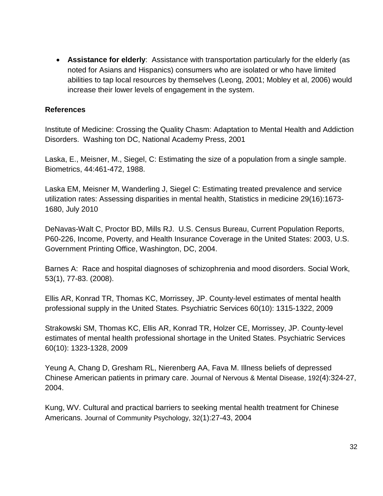• **Assistance for elderly**: Assistance with transportation particularly for the elderly (as noted for Asians and Hispanics) consumers who are isolated or who have limited abilities to tap local resources by themselves (Leong, 2001; Mobley et al, 2006) would increase their lower levels of engagement in the system.

#### **References**

Institute of Medicine: Crossing the Quality Chasm: Adaptation to Mental Health and Addiction Disorders. Washing ton DC, National Academy Press, 2001

Laska, E., Meisner, M., Siegel, C: Estimating the size of a population from a single sample. Biometrics, 44:461-472, 1988.

Laska EM, Meisner M, Wanderling J, Siegel C: Estimating treated prevalence and service utilization rates: Assessing disparities in mental health, Statistics in medicine 29(16):1673- 1680, July 2010

DeNavas-Walt C, Proctor BD, Mills RJ. U.S. Census Bureau, Current Population Reports, P60-226, Income, Poverty, and Health Insurance Coverage in the United States: 2003, U.S. Government Printing Office, Washington, DC, 2004.

Barnes A: Race and hospital diagnoses of schizophrenia and mood disorders. Social Work, 53(1), 77-83. (2008).

Ellis AR, Konrad TR, Thomas KC, Morrissey, JP. County-level estimates of mental health professional supply in the United States. Psychiatric Services 60(10): 1315-1322, 2009

Strakowski SM, Thomas KC, Ellis AR, Konrad TR, Holzer CE, Morrissey, JP. County-level estimates of mental health professional shortage in the United States. Psychiatric Services 60(10): 1323-1328, 2009

Yeung A, Chang D, Gresham RL, Nierenberg AA, Fava M. Illness beliefs of depressed Chinese American patients in primary care. Journal of Nervous & Mental Disease, 192(4):324-27, 2004.

Kung, WV. Cultural and practical barriers to seeking mental health treatment for Chinese Americans. Journal of Community Psychology, 32(1):27-43, 2004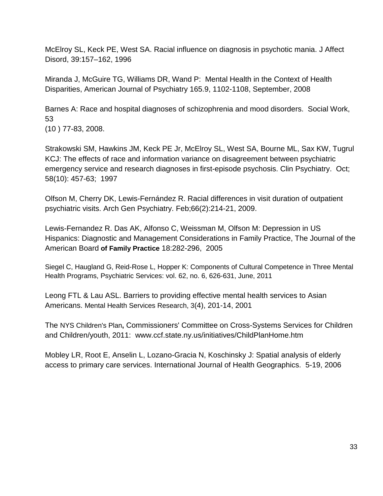McElroy SL, Keck PE, West SA. Racial influence on diagnosis in psychotic mania. J Affect Disord, 39:157–162, 1996

Miranda J, McGuire TG, Williams DR, Wand P: Mental Health in the Context of Health Disparities, American Journal of Psychiatry 165.9, 1102-1108, September, 2008

Barnes A: Race and hospital diagnoses of schizophrenia and mood disorders. Social Work, 53

(10 ) 77-83, 2008.

[Strakowski SM,](http://www.ncbi.nlm.nih.gov/pubmed?term=%22Strakowski%20SM%22%5BAuthor%5D) [Hawkins JM,](http://www.ncbi.nlm.nih.gov/pubmed?term=%22Hawkins%20JM%22%5BAuthor%5D) [Keck PE Jr,](http://www.ncbi.nlm.nih.gov/pubmed?term=%22Keck%20PE%20Jr%22%5BAuthor%5D) [McElroy SL,](http://www.ncbi.nlm.nih.gov/pubmed?term=%22McElroy%20SL%22%5BAuthor%5D) [West SA,](http://www.ncbi.nlm.nih.gov/pubmed?term=%22West%20SA%22%5BAuthor%5D) [Bourne ML,](http://www.ncbi.nlm.nih.gov/pubmed?term=%22Bourne%20ML%22%5BAuthor%5D) [Sax KW,](http://www.ncbi.nlm.nih.gov/pubmed?term=%22Sax%20KW%22%5BAuthor%5D) [Tugrul](http://www.ncbi.nlm.nih.gov/pubmed?term=%22Tugrul%20KC%22%5BAuthor%5D)  [KC](http://www.ncbi.nlm.nih.gov/pubmed?term=%22Tugrul%20KC%22%5BAuthor%5D)[J: The effects of race and information variance on disagreement between psychiatric](http://www.ncbi.nlm.nih.gov/pubmed/9375599)  [emergency service and research diagnoses in first-episode psychosis. Clin Psychiatry.](http://www.ncbi.nlm.nih.gov/pubmed/9375599) Oct; 58(10): 457-63; 1997

[Olfson](http://www.ncbi.nlm.nih.gov/pubmed?term=%22Olfson%20M%22%5BAuthor%5D) M, [Cherry DK,](http://www.ncbi.nlm.nih.gov/pubmed?term=%22Cherry%20DK%22%5BAuthor%5D) [Lewis-Fernández R.](http://www.ncbi.nlm.nih.gov/pubmed?term=%22Lewis-Fern%C3%A1ndez%20R%22%5BAuthor%5D) Racial differences in visit duration of outpatient psychiatric visits. [Arch Gen Psychiatry.](http://www.ncbi.nlm.nih.gov/pubmed/19188544) Feb;66(2):214-21, 2009.

Lewis-Fernandez R. Das AK, Alfonso C, Weissman M, Olfson M: Depression in US Hispanics: Diagnostic and Management Considerations in Family Practice, The Journal of the American Board **of Family Practice** 18:282-296, 2005

Siegel C, Haugland G, Reid-Rose L, Hopper K: Components of Cultural Competence in Three Mental Health Programs, Psychiatric Services: vol. 62, no. 6, 626-631, June, 2011

Leong FTL & Lau ASL. Barriers to providing effective mental health services to Asian Americans. Mental Health Services Research, 3(4), 201-14, 2001

The NYS Children's Plan**,** Commissioners' Committee on Cross-Systems Services for Children and Children/youth, 2011: www.ccf.state.ny.us/initiatives/ChildPlanHome.htm

Mobley LR, Root E, Anselin L, Lozano-Gracia N, Koschinsky J: Spatial analysis of elderly access to primary care services. International Journal of Health Geographics. 5-19, 2006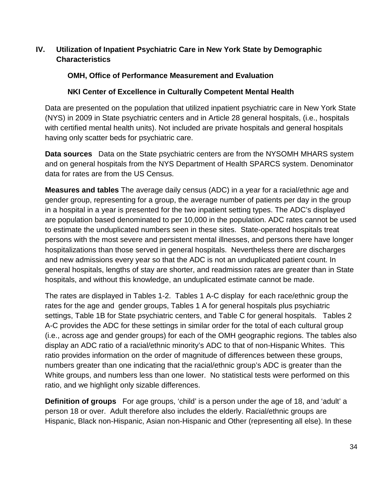# <span id="page-33-0"></span>**IV. Utilization of Inpatient Psychiatric Care in New York State by Demographic Characteristics**

# **OMH, Office of Performance Measurement and Evaluation**

# **NKI Center of Excellence in Culturally Competent Mental Health**

Data are presented on the population that utilized inpatient psychiatric care in New York State (NYS) in 2009 in State psychiatric centers and in Article 28 general hospitals, (i.e., hospitals with certified mental health units). Not included are private hospitals and general hospitals having only scatter beds for psychiatric care.

**Data sources** Data on the State psychiatric centers are from the NYSOMH MHARS system and on general hospitals from the NYS Department of Health SPARCS system. Denominator data for rates are from the US Census.

**Measures and tables** The average daily census (ADC) in a year for a racial/ethnic age and gender group, representing for a group, the average number of patients per day in the group in a hospital in a year is presented for the two inpatient setting types. The ADC's displayed are population based denominated to per 10,000 in the population. ADC rates cannot be used to estimate the unduplicated numbers seen in these sites. State-operated hospitals treat persons with the most severe and persistent mental illnesses, and persons there have longer hospitalizations than those served in general hospitals. Nevertheless there are discharges and new admissions every year so that the ADC is not an unduplicated patient count. In general hospitals, lengths of stay are shorter, and readmission rates are greater than in State hospitals, and without this knowledge, an unduplicated estimate cannot be made.

The rates are displayed in Tables 1-2. Tables 1 A-C display for each race/ethnic group the rates for the age and gender groups, Tables 1 A for general hospitals plus psychiatric settings, Table 1B for State psychiatric centers, and Table C for general hospitals. Tables 2 A-C provides the ADC for these settings in similar order for the total of each cultural group (i.e., across age and gender groups) for each of the OMH geographic regions. The tables also display an ADC ratio of a racial/ethnic minority's ADC to that of non-Hispanic Whites. This ratio provides information on the order of magnitude of differences between these groups, numbers greater than one indicating that the racial/ethnic group's ADC is greater than the White groups, and numbers less than one lower. No statistical tests were performed on this ratio, and we highlight only sizable differences.

**Definition of groups** For age groups, 'child' is a person under the age of 18, and 'adult' a person 18 or over. Adult therefore also includes the elderly. Racial/ethnic groups are Hispanic, Black non-Hispanic, Asian non-Hispanic and Other (representing all else). In these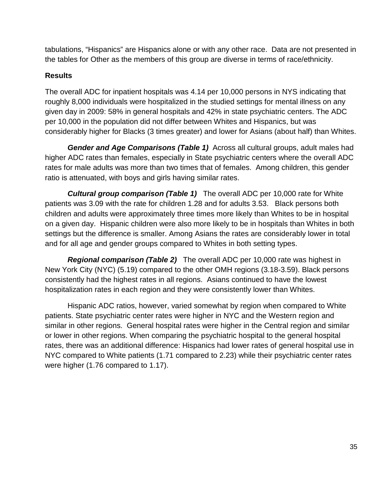tabulations, "Hispanics" are Hispanics alone or with any other race. Data are not presented in the tables for Other as the members of this group are diverse in terms of race/ethnicity.

# **Results**

The overall ADC for inpatient hospitals was 4.14 per 10,000 persons in NYS indicating that roughly 8,000 individuals were hospitalized in the studied settings for mental illness on any given day in 2009: 58% in general hospitals and 42% in state psychiatric centers. The ADC per 10,000 in the population did not differ between Whites and Hispanics, but was considerably higher for Blacks (3 times greater) and lower for Asians (about half) than Whites.

*Gender and Age Comparisons (Table 1)* Across all cultural groups, adult males had higher ADC rates than females, especially in State psychiatric centers where the overall ADC rates for male adults was more than two times that of females. Among children, this gender ratio is attenuated, with boys and girls having similar rates.

*Cultural group comparison (Table 1)* The overall ADC per 10,000 rate for White patients was 3.09 with the rate for children 1.28 and for adults 3.53. Black persons both children and adults were approximately three times more likely than Whites to be in hospital on a given day. Hispanic children were also more likely to be in hospitals than Whites in both settings but the difference is smaller. Among Asians the rates are considerably lower in total and for all age and gender groups compared to Whites in both setting types.

*Regional comparison (Table 2)* The overall ADC per 10,000 rate was highest in New York City (NYC) (5.19) compared to the other OMH regions (3.18-3.59). Black persons consistently had the highest rates in all regions. Asians continued to have the lowest hospitalization rates in each region and they were consistently lower than Whites.

Hispanic ADC ratios, however, varied somewhat by region when compared to White patients. State psychiatric center rates were higher in NYC and the Western region and similar in other regions. General hospital rates were higher in the Central region and similar or lower in other regions. When comparing the psychiatric hospital to the general hospital rates, there was an additional difference: Hispanics had lower rates of general hospital use in NYC compared to White patients (1.71 compared to 2.23) while their psychiatric center rates were higher (1.76 compared to 1.17).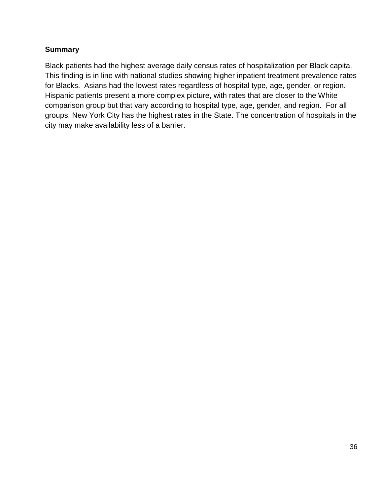# **Summary**

Black patients had the highest average daily census rates of hospitalization per Black capita. This finding is in line with national studies showing higher inpatient treatment prevalence rates for Blacks. Asians had the lowest rates regardless of hospital type, age, gender, or region. Hispanic patients present a more complex picture, with rates that are closer to the White comparison group but that vary according to hospital type, age, gender, and region. For all groups, New York City has the highest rates in the State. The concentration of hospitals in the city may make availability less of a barrier.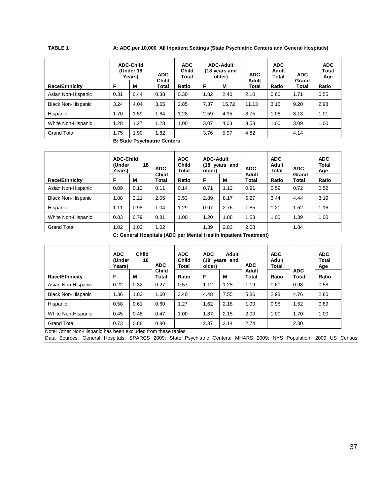#### **TABLE 1 A: ADC per 10,000 All Inpatient Settings (State Psychiatric Centers and General Hospitals)**

|                           |      | <b>ADC-Child</b><br>(Under 18<br>Years) | <b>ADC</b>            | <b>ADC</b><br><b>Child</b><br>Total |              | <b>ADC-Adult</b><br>(18 years and<br>older) | <b>ADC</b>     | <b>ADC</b><br>Adult<br>Total | <b>ADC</b>     | <b>ADC</b><br>Total<br>Age |
|---------------------------|------|-----------------------------------------|-----------------------|-------------------------------------|--------------|---------------------------------------------|----------------|------------------------------|----------------|----------------------------|
| <b>Race/Ethnicity</b>     | F    | M                                       | <b>Child</b><br>Total | Ratio                               | F            | M                                           | Adult<br>Total | Ratio                        | Grand<br>Total | Ratio                      |
| Asian Non-Hispanic        | 0.31 | 0.44                                    | 0.38                  | 0.30                                | 1.82         | 2.10<br>2.40                                |                | 0.60                         | 1.71           | 0.55                       |
| <b>Black Non-Hispanic</b> | 3.24 | 4.04                                    | 3.65                  | 2.85                                | 7.37         | 15.72                                       | 11.13          | 3.15                         | 9.20           | 2.98                       |
| Hispanic                  | 1.70 | .59                                     | 1.64                  | 1.28                                | 2.59         | 4.95                                        | 3.75           | 1.06                         | 3.13           | 1.01                       |
| White Non-Hispanic        | 1.28 | 1.27                                    | 1.28                  | 1.00                                | 3.07<br>4.03 |                                             | 3.53           | 1.00                         | 3.09           | 1.00                       |
| <b>Grand Total</b>        | 1.75 | 1.82<br>.90<br>3.76                     |                       | 5.97                                | 4.82         |                                             | 4.14           |                              |                |                            |

**B: State Psychiatric Centers**

|                           | <b>ADC-Child</b><br>(Under<br>Years) | 18   | <b>ADC</b>            | <b>ADC</b><br><b>Child</b><br>Total | <b>ADC-Adult</b><br>older) | (18 years and | <b>ADC</b>            | <b>ADC</b><br>Adult<br><b>Total</b> | <b>ADC</b>     | <b>ADC</b><br><b>Total</b><br>Age |
|---------------------------|--------------------------------------|------|-----------------------|-------------------------------------|----------------------------|---------------|-----------------------|-------------------------------------|----------------|-----------------------------------|
| <b>Race/Ethnicity</b>     | F<br>М                               |      | <b>Child</b><br>Total | Ratio                               | F                          | М             | Adult<br><b>Total</b> | Ratio                               | Grand<br>Total | Ratio                             |
| Asian Non-Hispanic        | 0.09                                 | 0.12 | 0.11                  | 0.14                                | 0.71                       | 1.12          | 0.91                  | 0.59                                | 0.72           | 0.52                              |
| <b>Black Non-Hispanic</b> | 1.88                                 | 2.21 | 2.05                  | 2.53                                | 2.89                       | 8.17          | 5.27                  | 3.44                                | 4.44           | 3.19                              |
| Hispanic                  | 1.11                                 | 0.98 | 1.04                  | 1.29                                | 0.97                       | 2.76          | 1.85                  | 1.21                                | 1.62           | 1.16                              |
| White Non-Hispanic        | 0.83                                 |      | 0.81                  | 1.00                                | 1.20                       | 1.88          | 1.53                  | 1.00                                | 1.39           | 1.00                              |
| <b>Grand Total</b>        | 1.02<br>1.02                         |      | 1.02                  |                                     | 1.39                       | 2.83          | 2.08                  |                                     | 1.84           |                                   |

**C: General Hospitals (ADC per Mental Health Inpatient Treatment)**

| <b>ADC</b><br><b>Child</b><br>(Under<br>18<br>Years) |      | <b>ADC</b> | <b>ADC</b><br><b>Child</b><br><b>Total</b> | <b>ADC</b><br>older) | <b>Adult</b><br>(18 years and                                | <b>ADC</b> | <b>ADC</b><br>Adult<br>Total |              | <b>ADC</b><br>Total<br>Age |
|------------------------------------------------------|------|------------|--------------------------------------------|----------------------|--------------------------------------------------------------|------------|------------------------------|--------------|----------------------------|
| F                                                    | M    | Total      | Ratio                                      | F                    | M                                                            | Total      | Ratio                        | <b>Total</b> | Ratio                      |
| 0.22                                                 | 0.32 | 0.27       | 0.57                                       | 1.12                 | 1.28                                                         | 1.19       | 0.60                         | 0.98         | 0.58                       |
| 1.36                                                 | 1.83 | 1.60       | 3.40                                       | 4.48                 | 7.55                                                         | 5.86       | 2.93                         | 4.76         | 2.80                       |
| 0.58                                                 | 0.61 | 0.60       | 1.27                                       | 1.62                 | 2.18                                                         | 1.90       | 0.95                         | 1.52         | 0.89                       |
| 0.45                                                 | 0.48 | 0.47       | 1.00                                       | 1.87                 | 2.15                                                         | 2.00       | 1.00                         | 1.70         | 1.00                       |
| 0.73                                                 | 0.88 | 0.80       |                                            | 2.37                 | 3.14                                                         | 2.74       |                              | 2.30         |                            |
|                                                      |      |            | <b>Child</b>                               |                      | Note: Other Non-Hispanic has been excluded from these tables |            | Adult                        |              | <b>ADC</b>                 |

Data Sources: General Hospitals: SPARCS 2009; State Psychiatric Centers: MHARS 2009; NYS Population: 2009 US Census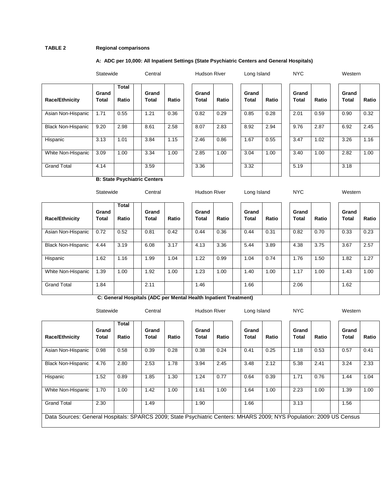#### **TABLE 2 Regional comparisons**

#### **A: ADC per 10,000: All Inpatient Settings (State Psychiatric Centers and General Hospitals)**

|                           | <b>Sidlewide</b> |                       | UUIIII di      |       |
|---------------------------|------------------|-----------------------|----------------|-------|
| <b>Race/Ethnicity</b>     | Grand<br>Total   | <b>Total</b><br>Ratio | Grand<br>Total | Ratio |
| Asian Non-Hispanic        | 1.71             | 0.55                  | 1.21           | 0.36  |
| <b>Black Non-Hispanic</b> | 9.20             | 2.98                  | 8.61           | 2.58  |
| Hispanic                  | 3.13             | 1.01                  | 3.84           | 1.15  |
| White Non-Hispanic        | 3.09             | 1.00                  | 3.34           | 1.00  |
| <b>Grand Total</b>        | 4.14             |                       | 3.59           |       |

|                           | Statewide      |                       | Central        |       | <b>Hudson River</b> |       | Long Island           |       | <b>NYC</b>            |       | Western               |       |
|---------------------------|----------------|-----------------------|----------------|-------|---------------------|-------|-----------------------|-------|-----------------------|-------|-----------------------|-------|
| <b>Race/Ethnicity</b>     | Grand<br>Total | <b>Total</b><br>Ratio | Grand<br>Total | Ratio | Grand<br>Total      | Ratio | Grand<br><b>Total</b> | Ratio | Grand<br><b>Total</b> | Ratio | Grand<br><b>Total</b> | Ratio |
| Asian Non-Hispanic        | 1.71           | 0.55                  | 1.21           | 0.36  | 0.82                | 0.29  | 0.85                  | 0.28  | 2.01                  | 0.59  | 0.90                  | 0.32  |
| <b>Black Non-Hispanic</b> | 9.20           | 2.98                  | 8.61           | 2.58  | 8.07                | 2.83  | 8.92                  | 2.94  | 9.76                  | 2.87  | 6.92                  | 2.45  |
| Hispanic                  | 3.13           | 1.01                  | 3.84           | 1.15  | 2.46                | 0.86  | 1.67                  | 0.55  | 3.47                  | 1.02  | 3.26                  | 1.16  |
| White Non-Hispanic        | 3.09           | 1.00                  | 3.34           | 1.00  | 2.85                | 1.00  | 3.04                  | 1.00  | 3.40                  | 1.00  | 2.82                  | 1.00  |
| <b>Grand Total</b>        | 4.14           |                       | 3.59           |       | 3.36                |       | 3.32                  |       | 5.19                  |       | 3.18                  |       |

**B: State Psychiatric Centers**

|                           | Statewide                               |      |  | Central               |       |  | <b>Hudson River</b>            |      | Long Island |                       |       | <b>NYC</b> |                       |       | Western |                |       |
|---------------------------|-----------------------------------------|------|--|-----------------------|-------|--|--------------------------------|------|-------------|-----------------------|-------|------------|-----------------------|-------|---------|----------------|-------|
| Race/Ethnicity            | Total<br>Grand<br>Ratio<br><b>Total</b> |      |  | Grand<br><b>Total</b> | Ratio |  | Grand<br><b>Total</b><br>Ratio |      |             | Grand<br><b>Total</b> | Ratio |            | Grand<br><b>Total</b> | Ratio |         | Grand<br>Total | Ratio |
| Asian Non-Hispanic        | 0.72                                    | 0.52 |  | 0.81                  | 0.42  |  | 0.44                           | 0.36 |             | 0.44                  | 0.31  |            | 0.82                  | 0.70  |         | 0.33           | 0.23  |
| <b>Black Non-Hispanic</b> | 4.44                                    | 3.19 |  | 6.08                  | 3.17  |  | 4.13                           | 3.36 |             | 5.44                  | 3.89  |            | 4.38                  | 3.75  |         | 3.67           | 2.57  |
| Hispanic                  | 1.62                                    | 1.16 |  | 1.99                  | 1.04  |  | 1.22                           | 0.99 |             | 1.04                  | 0.74  |            | 1.76                  | 1.50  |         | 1.82           | 1.27  |
| White Non-Hispanic        | 1.39                                    | 1.00 |  | 1.92                  | 1.00  |  | 1.23                           | 1.00 |             | 1.40                  | 1.00  |            | 1.17                  | 1.00  |         | 1.43           | 1.00  |
| <b>Grand Total</b>        | 1.84                                    |      |  | 2.11                  |       |  | 1.46                           |      |             | 1.66                  |       |            | 2.06                  |       |         | 1.62           |       |

**C: General Hospitals (ADC per Mental Health Inpatient Treatment)**

| Atatewide |  |  |
|-----------|--|--|
|           |  |  |

Statewide Central Hudson River Long Island NYC Western

| <b>Race/Ethnicity</b>                                                                                               | Grand<br><b>Total</b> | <b>Total</b><br>Ratio | Grand<br>Total | Ratio | Grand<br><b>Total</b> | Ratio | Grand<br>Total | Ratio | Grand<br>Total | Ratio | Grand<br><b>Total</b> | Ratio |
|---------------------------------------------------------------------------------------------------------------------|-----------------------|-----------------------|----------------|-------|-----------------------|-------|----------------|-------|----------------|-------|-----------------------|-------|
| Asian Non-Hispanic                                                                                                  | 0.98                  | 0.58                  | 0.39           | 0.28  | 0.38                  | 0.24  | 0.41           | 0.25  | 1.18           | 0.53  | 0.57                  | 0.41  |
| <b>Black Non-Hispanic</b>                                                                                           | 4.76                  | 2.80                  | 2.53           | 1.78  | 3.94                  | 2.45  | 3.48           | 2.12  | 5.38           | 2.41  | 3.24                  | 2.33  |
| Hispanic                                                                                                            | 1.52                  | 0.89                  | 1.85           | 1.30  | 1.24                  | 0.77  | 0.64           | 0.39  | 1.71           | 0.76  | 1.44                  | 1.04  |
| White Non-Hispanic                                                                                                  | 1.70                  | 1.00                  | 1.42           | 1.00  | 1.61                  | 1.00  | 1.64           | 1.00  | 2.23           | 1.00  | 1.39                  | 1.00  |
| <b>Grand Total</b>                                                                                                  | 2.30                  |                       | 1.49           |       | 1.90                  |       | 1.66           |       | 3.13           |       | 1.56                  |       |
| Data Sources: General Hospitals: SPARCS 2009; State Psychiatric Centers: MHARS 2009; NYS Population: 2009 US Census |                       |                       |                |       |                       |       |                |       |                |       |                       |       |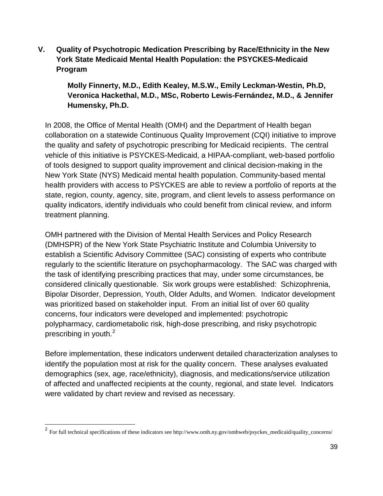<span id="page-38-0"></span>**V. Quality of Psychotropic Medication Prescribing by Race/Ethnicity in the New York State Medicaid Mental Health Population: the PSYCKES-Medicaid Program**

**Molly Finnerty, M.D., Edith Kealey, M.S.W., Emily Leckman-Westin, Ph.D, Veronica Hackethal, M.D., MSc, Roberto Lewis-Fernández, M.D., & Jennifer Humensky, Ph.D.** 

In 2008, the Office of Mental Health (OMH) and the Department of Health began collaboration on a statewide Continuous Quality Improvement (CQI) initiative to improve the quality and safety of psychotropic prescribing for Medicaid recipients. The central vehicle of this initiative is PSYCKES-Medicaid, a HIPAA-compliant, web-based portfolio of tools designed to support quality improvement and clinical decision-making in the New York State (NYS) Medicaid mental health population. Community-based mental health providers with access to PSYCKES are able to review a portfolio of reports at the state, region, county, agency, site, program, and client levels to assess performance on quality indicators, identify individuals who could benefit from clinical review, and inform treatment planning.

OMH partnered with the Division of Mental Health Services and Policy Research (DMHSPR) of the New York State Psychiatric Institute and Columbia University to establish a Scientific Advisory Committee (SAC) consisting of experts who contribute regularly to the scientific literature on psychopharmacology. The SAC was charged with the task of identifying prescribing practices that may, under some circumstances, be considered clinically questionable. Six work groups were established: Schizophrenia, Bipolar Disorder, Depression, Youth, Older Adults, and Women. Indicator development was prioritized based on stakeholder input. From an initial list of over 60 quality concerns, four indicators were developed and implemented: psychotropic polypharmacy, cardiometabolic risk, high-dose prescribing, and risky psychotropic prescribing in youth.[2](#page-38-1)

Before implementation, these indicators underwent detailed characterization analyses to identify the population most at risk for the quality concern. These analyses evaluated demographics (sex, age, race/ethnicity), diagnosis, and medications/service utilization of affected and unaffected recipients at the county, regional, and state level. Indicators were validated by chart review and revised as necessary.

<span id="page-38-1"></span> <sup>2</sup> For full technical specifications of these indicators see http://www.omh.ny.gov/omhweb/psyckes\_medicaid/quality\_concerns/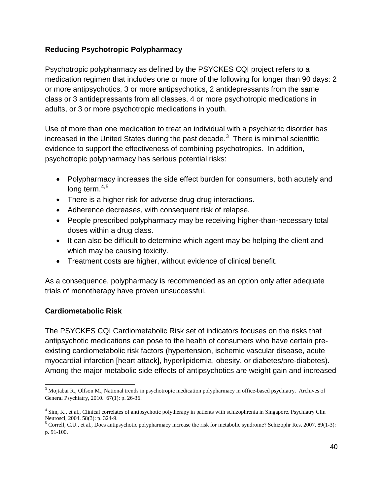# **Reducing Psychotropic Polypharmacy**

Psychotropic polypharmacy as defined by the PSYCKES CQI project refers to a medication regimen that includes one or more of the following for longer than 90 days: 2 or more antipsychotics, 3 or more antipsychotics, 2 antidepressants from the same class or 3 antidepressants from all classes, 4 or more psychotropic medications in adults, or 3 or more psychotropic medications in youth.

Use of more than one medication to treat an individual with a psychiatric disorder has increased in the United States during the past decade.<sup>[3](#page-39-0)</sup> There is minimal scientific evidence to support the effectiveness of combining psychotropics. In addition, psychotropic polypharmacy has serious potential risks:

- Polypharmacy increases the side effect burden for consumers, both acutely and long term. $4,5$  $4,5$  $4,5$
- There is a higher risk for adverse drug-drug interactions.
- Adherence decreases, with consequent risk of relapse.
- People prescribed polypharmacy may be receiving higher-than-necessary total doses within a drug class.
- It can also be difficult to determine which agent may be helping the client and which may be causing toxicity.
- Treatment costs are higher, without evidence of clinical benefit.

As a consequence, polypharmacy is recommended as an option only after adequate trials of monotherapy have proven unsuccessful.

## **Cardiometabolic Risk**

The PSYCKES CQI Cardiometabolic Risk set of indicators focuses on the risks that antipsychotic medications can pose to the health of consumers who have certain preexisting cardiometabolic risk factors (hypertension, ischemic vascular disease, acute myocardial infarction [heart attack], hyperlipidemia, obesity, or diabetes/pre-diabetes). Among the major metabolic side effects of antipsychotics are weight gain and increased

<span id="page-39-0"></span><sup>3</sup> Mojtabai R., Olfson M., National trends in psychotropic medication polypharmacy in office-based psychiatry. Archives of General Psychiatry, 2010. 67(1): p. 26-36.

<span id="page-39-1"></span><sup>4</sup> Sim, K., et al., Clinical correlates of antipsychotic polytherapy in patients with schizophrenia in Singapore. Psychiatry Clin

<span id="page-39-2"></span>Neurosci, 2004. 58(3): p. 324-9.<br><sup>5</sup> Correll, C.U., et al., Does antipsychotic polypharmacy increase the risk for metabolic syndrome? Schizophr Res, 2007. 89(1-3): p. 91-100.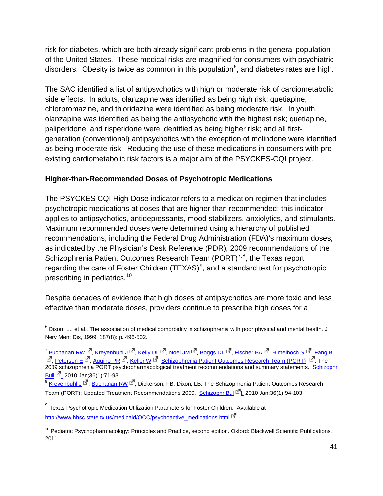risk for diabetes, which are both already significant problems in the general population of the United States. These medical risks are magnified for consumers with psychiatric disorders. Obesity is twice as common in this population<sup>[6](#page-40-0)</sup>, and diabetes rates are high.

The SAC identified a list of antipsychotics with high or moderate risk of cardiometabolic side effects. In adults, olanzapine was identified as being high risk; quetiapine, chlorpromazine, and thioridazine were identified as being moderate risk. In youth, olanzapine was identified as being the antipsychotic with the highest risk; quetiapine, paliperidone, and risperidone were identified as being higher risk; and all firstgeneration (conventional) antipsychotics with the exception of molindone were identified as being moderate risk. Reducing the use of these medications in consumers with preexisting cardiometabolic risk factors is a major aim of the PSYCKES-CQI project.

# **Higher-than-Recommended Doses of Psychotropic Medications**

The PSYCKES CQI High-Dose indicator refers to a medication regimen that includes psychotropic medications at doses that are higher than recommended; this indicator applies to antipsychotics, antidepressants, mood stabilizers, anxiolytics, and stimulants. Maximum recommended doses were determined using a hierarchy of published recommendations, including the Federal Drug Administration (FDA)'s maximum doses, as indicated by the Physician's Desk Reference (PDR), 2009 recommendations of the Schizophrenia Patient Outcomes Research Team (PORT)<sup>[7](#page-40-1),[8](#page-40-2)</sup>, the Texas report regarding the care of Foster Children (TEXAS)<sup>[9](#page-40-3)</sup>, and a standard text for psychotropic prescribing in pediatrics.<sup>[10](#page-40-4)</sup>

Despite decades of evidence that high doses of antipsychotics are more toxic and less effective than moderate doses, providers continue to prescribe high doses for a

<span id="page-40-1"></span> $^7$  [Buchanan RW](http://www.ncbi.nlm.nih.gov/pubmed?term=%22Buchanan%20RW%22%5BAuthor%5D)  $^{\Box}$ , [Kreyenbuhl J](http://www.ncbi.nlm.nih.gov/pubmed?term=%22Kreyenbuhl%20J%22%5BAuthor%5D)  $^{\Box}$ , [Kelly DL](http://www.ncbi.nlm.nih.gov/pubmed?term=%22Kelly%20DL%22%5BAuthor%5D)  $^{\Box}$ , [Noel JM](http://www.ncbi.nlm.nih.gov/pubmed?term=%22Noel%20JM%22%5BAuthor%5D)  $^{\Box}$ , [Boggs DL](http://www.ncbi.nlm.nih.gov/pubmed?term=%22Boggs%20DL%22%5BAuthor%5D)  $^{\Box}$ , [Fischer BA](http://www.ncbi.nlm.nih.gov/pubmed?term=%22Fischer%20BA%22%5BAuthor%5D)  $^{\Box}$ , [Himelhoch S](http://www.ncbi.nlm.nih.gov/pubmed?term=%22Himelhoch%20S%22%5BAuthor%5D)  $^{\Box}$ , [Fang B](http://www.ncbi.nlm.nih.gov/pubmed?term=%22Fang%20B%22%5BAuthor%5D) , <u>Peterson E</u> <sup>ist</sup>, [Aquino PR](http://www.ncbi.nlm.nih.gov/pubmed?term=%22Aquino%20PR%22%5BAuthor%5D) <sup>ist</sup>, [Keller W](http://www.ncbi.nlm.nih.gov/pubmed?term=%22Keller%20W%22%5BAuthor%5D) <sup>ist</sup>, [Schizophrenia Patient Outcomes Research Team \(PORT\)](http://www.ncbi.nlm.nih.gov/pubmed?term=%22Schizophrenia%20Patient%20Outcomes%20Research%20Team%20(PORT)%22%5BCorporate%20Author%5D) . The 2009 schizophrenia PORT psychopharmacological treatment recommendations and summary statements. Schizophr Bull  $\frac{Bul}{2}$  2010 Jan;36(1):71-93.<br><sup>8</sup> [Kreyenbuhl J](http://www.ncbi.nlm.nih.gov/pubmed?term=%22Kreyenbuhl%20J%22%5BAuthor%5D) <sup>Far</sup>[, Buchanan RW](http://www.ncbi.nlm.nih.gov/pubmed?term=%22Buchanan%20RW%22%5BAuthor%5D) <sup>Far</sup>, Dickerson, FB, Dixon, LB. The Schizophrenia Patient Outcomes Research

<span id="page-40-0"></span> $^6$  Dixon, L., et al., The association of medical comorbidity in schizophrenia with poor physical and mental health. J Nerv Ment Dis, 1999. 187(8): p. 496-502.

<span id="page-40-2"></span>Team (PORT): Updated Treatment Recommendations 2009. [Schizophr Bul](javascript:AL_get(this,%20) <sup>[27</sup>]. 2010 Jan;36(1):94-103.

<span id="page-40-3"></span> $9$  Texas Psychotropic Medication Utilization Parameters for Foster Children. Available at [http://www.hhsc.state.tx.us/medicaid/OCC/psychoactive\\_medications.html](http://www.hhsc.state.tx.us/medicaid/OCC/psychoactive_medications.html)

<span id="page-40-4"></span><sup>&</sup>lt;sup>10</sup> Pediatric Psychopharmacology: Principles and Practice, second edition. Oxford: Blackwell Scientific Publications, 2011.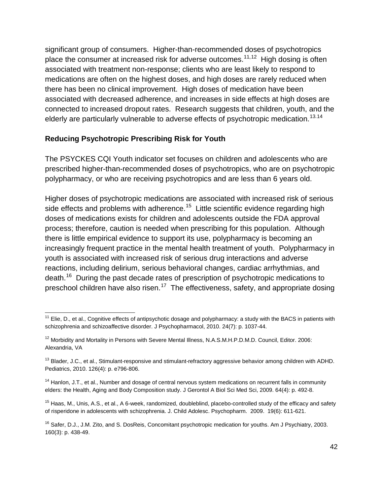significant group of consumers. Higher-than-recommended doses of psychotropics place the consumer at increased risk for adverse outcomes.<sup>[11,](#page-41-0)12</sup> High dosing is often associated with treatment non-response; clients who are least likely to respond to medications are often on the highest doses, and high doses are rarely reduced when there has been no clinical improvement. High doses of medication have been associated with decreased adherence, and increases in side effects at high doses are connected to increased dropout rates. Research suggests that children, youth, and the elderly are particularly vulnerable to adverse effects of psychotropic medication.<sup>[13](#page-41-2).14</sup>

## **Reducing Psychotropic Prescribing Risk for Youth**

The PSYCKES CQI Youth indicator set focuses on children and adolescents who are prescribed higher-than-recommended doses of psychotropics, who are on psychotropic polypharmacy, or who are receiving psychotropics and are less than 6 years old.

Higher doses of psychotropic medications are associated with increased risk of serious side effects and problems with adherence.<sup>[15](#page-41-4)</sup> Little scientific evidence regarding high doses of medications exists for children and adolescents outside the FDA approval process; therefore, caution is needed when prescribing for this population. Although there is little empirical evidence to support its use, polypharmacy is becoming an increasingly frequent practice in the mental health treatment of youth. Polypharmacy in youth is associated with increased risk of serious drug interactions and adverse reactions, including delirium, serious behavioral changes, cardiac arrhythmias, and death.[16](#page-41-5) During the past decade rates of prescription of psychotropic medications to preschool children have also risen.<sup>[17](#page-41-6)</sup> The effectiveness, safety, and appropriate dosing

<span id="page-41-0"></span> $11$  Elie, D., et al., Cognitive effects of antipsychotic dosage and polypharmacy: a study with the BACS in patients with schizophrenia and schizoaffective disorder. J Psychopharmacol, 2010. 24(7): p. 1037-44.

<span id="page-41-1"></span><sup>&</sup>lt;sup>12</sup> Morbidity and Mortality in Persons with Severe Mental Illness, N.A.S.M.H.P.D.M.D. Council, Editor. 2006: Alexandria, VA

<span id="page-41-2"></span> $13$  Blader, J.C., et al., Stimulant-responsive and stimulant-refractory aggressive behavior among children with ADHD. Pediatrics, 2010. 126(4): p. e796-806.

<span id="page-41-3"></span> $14$  Hanlon, J.T., et al., Number and dosage of central nervous system medications on recurrent falls in community elders: the Health, Aging and Body Composition study. J Gerontol A Biol Sci Med Sci, 2009. 64(4): p. 492-8.

<span id="page-41-4"></span><sup>&</sup>lt;sup>15</sup> Haas, M., Unis, A.S., et al., A 6-week, randomized, doubleblind, placebo-controlled study of the efficacy and safety of risperidone in adolescents with schizophrenia. J. Child Adolesc. Psychopharm. 2009. 19(6): 611-621.

<span id="page-41-6"></span><span id="page-41-5"></span><sup>&</sup>lt;sup>16</sup> Safer, D.J., J.M. Zito, and S. DosReis, Concomitant psychotropic medication for youths. Am J Psychiatry, 2003. 160(3): p. 438-49.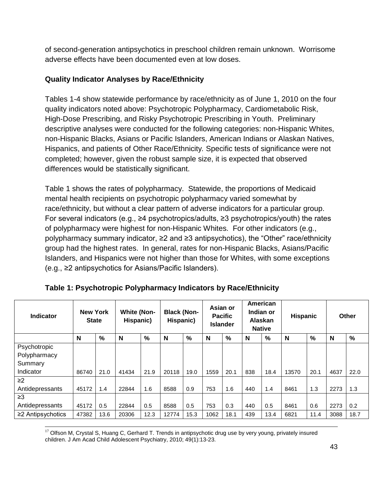of second-generation antipsychotics in preschool children remain unknown. Worrisome adverse effects have been documented even at low doses.

# **Quality Indicator Analyses by Race/Ethnicity**

Tables 1-4 show statewide performance by race/ethnicity as of June 1, 2010 on the four quality indicators noted above: Psychotropic Polypharmacy, Cardiometabolic Risk, High-Dose Prescribing, and Risky Psychotropic Prescribing in Youth. Preliminary descriptive analyses were conducted for the following categories: non-Hispanic Whites, non-Hispanic Blacks, Asians or Pacific Islanders, American Indians or Alaskan Natives, Hispanics, and patients of Other Race/Ethnicity*.* Specific tests of significance were not completed; however, given the robust sample size, it is expected that observed differences would be statistically significant.

Table 1 shows the rates of polypharmacy. Statewide, the proportions of Medicaid mental health recipients on psychotropic polypharmacy varied somewhat by race/ethnicity, but without a clear pattern of adverse indicators for a particular group. For several indicators (e.g., ≥4 psychotropics/adults, ≥3 psychotropics/youth) the rates of polypharmacy were highest for non-Hispanic Whites. For other indicators (e.g., polypharmacy summary indicator, ≥2 and ≥3 antipsychotics), the "Other" race/ethnicity group had the highest rates. In general, rates for non-Hispanic Blacks, Asians/Pacific Islanders, and Hispanics were not higher than those for Whites, with some exceptions (e.g., ≥2 antipsychotics for Asians/Pacific Islanders).

| <b>Indicator</b>        | <b>New York</b><br><b>State</b> |      | <b>White (Non-</b><br>Hispanic) |      | <b>Black (Non-</b><br>Hispanic) |      |      | Asian or<br><b>Pacific</b><br><b>Islander</b> |     | American<br>Indian or<br>Alaskan<br><b>Native</b> | <b>Hispanic</b> |      |      | Other         |
|-------------------------|---------------------------------|------|---------------------------------|------|---------------------------------|------|------|-----------------------------------------------|-----|---------------------------------------------------|-----------------|------|------|---------------|
|                         | N                               | %    | N                               | %    | N                               | %    | N    | %                                             | N   | %                                                 | N               | %    | N    | $\frac{9}{6}$ |
| Psychotropic            |                                 |      |                                 |      |                                 |      |      |                                               |     |                                                   |                 |      |      |               |
| Polypharmacy            |                                 |      |                                 |      |                                 |      |      |                                               |     |                                                   |                 |      |      |               |
| Summary                 |                                 |      |                                 |      |                                 |      |      |                                               |     |                                                   |                 |      |      |               |
| Indicator               | 86740                           | 21.0 | 41434                           | 21.9 | 20118                           | 19.0 | 1559 | 20.1                                          | 838 | 18.4                                              | 13570           | 20.1 | 4637 | 22.0          |
| $\geq$ 2                |                                 |      |                                 |      |                                 |      |      |                                               |     |                                                   |                 |      |      |               |
| Antidepressants         | 45172                           | 1.4  | 22844                           | 1.6  | 8588                            | 0.9  | 753  | 1.6                                           | 440 | 1.4                                               | 8461            | 1.3  | 2273 | 1.3           |
| $\geq$ 3                |                                 |      |                                 |      |                                 |      |      |                                               |     |                                                   |                 |      |      |               |
| Antidepressants         | 45172                           | 0.5  | 22844                           | 0.5  | 8588                            | 0.5  | 753  | 0.3                                           | 440 | 0.5                                               | 8461            | 0.6  | 2273 | 0.2           |
| $\geq$ 2 Antipsychotics | 47382                           | 13.6 | 20306                           | 12.3 | 12774                           | 15.3 | 1062 | 18.1                                          | 439 | 13.4                                              | 6821<br>11.4    |      | 3088 | 18.7          |

 $17$  Olfson M, Crystal S, Huang C, Gerhard T. Trends in antipsychotic drug use by very young, privately insured children. J Am Acad Child Adolescent Psychiatry, 2010; 49(1):13-23.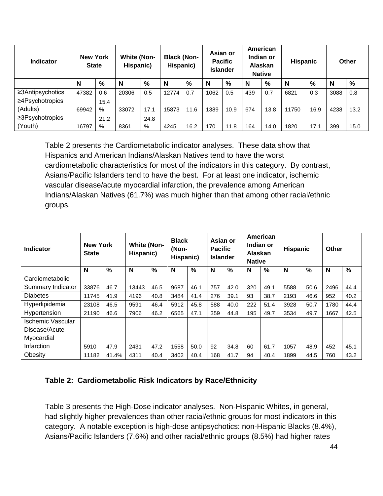| <b>Indicator</b> | <b>New York</b><br><b>State</b> |      | <b>White (Non-</b><br>Hispanic) |      | <b>Black (Non-</b><br>Hispanic) |      | Asian or<br><b>Pacific</b><br><b>Islander</b> |      | American<br>Indian or<br>Alaskan<br><b>Native</b> |      | <b>Hispanic</b> |               | <b>Other</b> |      |
|------------------|---------------------------------|------|---------------------------------|------|---------------------------------|------|-----------------------------------------------|------|---------------------------------------------------|------|-----------------|---------------|--------------|------|
|                  | N                               | $\%$ | N                               | %    | N                               | %    | N                                             | %    | N                                                 | $\%$ | N               | $\frac{0}{0}$ | N            | %    |
| ≥3Antipsychotics | 47382                           | 0.6  | 20306                           | 0.5  | 12774                           | 0.7  | 1062                                          | 0.5  | 439                                               | 0.7  | 6821            | 0.3           | 3088         | 0.8  |
| ≥4Psychotropics  |                                 | 15.4 |                                 |      |                                 |      |                                               |      |                                                   |      |                 |               |              |      |
| (Adults)         | 69942                           | %    | 33072                           | 17.1 | 15873                           | 11.6 | 1389                                          | 10.9 | 674                                               | 13.8 | 11750           | 16.9          | 4238         | 13.2 |
| ≥3Psychotropics  |                                 | 21.2 |                                 | 24.8 |                                 |      |                                               |      |                                                   |      |                 |               |              |      |
| (Youth)          | 16797                           | %    | 8361                            | %    | 4245                            | 16.2 | 170                                           | 11.8 | 164                                               | 14.0 | 1820            | 17.1          | 399          | 15.0 |

Table 2 presents the Cardiometabolic indicator analyses. These data show that Hispanics and American Indians/Alaskan Natives tend to have the worst cardiometabolic characteristics for most of the indicators in this category. By contrast, Asians/Pacific Islanders tend to have the best. For at least one indicator, ischemic vascular disease/acute myocardial infarction, the prevalence among American Indians/Alaskan Natives (61.7%) was much higher than that among other racial/ethnic groups.

| <b>Indicator</b>         | <b>New York</b><br><b>State</b> |               | <b>White (Non-</b><br>Hispanic) |      | <b>Black</b><br>(Non-<br>Hispanic) |      | Asian or<br><b>Pacific</b><br><b>Islander</b> |      | American<br>Indian or<br><b>Alaskan</b><br><b>Native</b> |      | <b>Hispanic</b> |      | Other |               |
|--------------------------|---------------------------------|---------------|---------------------------------|------|------------------------------------|------|-----------------------------------------------|------|----------------------------------------------------------|------|-----------------|------|-------|---------------|
|                          | N                               | $\frac{0}{0}$ | N                               | %    | N                                  | %    | N                                             | %    | N                                                        | %    | N               | $\%$ | N     | $\frac{9}{6}$ |
| Cardiometabolic          |                                 |               |                                 |      |                                    |      |                                               |      |                                                          |      |                 |      |       |               |
| Summary Indicator        | 33876                           | 46.7          | 13443                           | 46.5 | 9687                               | 46.1 | 757                                           | 42.0 | 320                                                      | 49.1 | 5588            | 50.6 | 2496  | 44.4          |
| <b>Diabetes</b>          | 11745                           | 41.9          | 4196                            | 40.8 | 3484                               | 41.4 | 276                                           | 39.1 | 93                                                       | 38.7 | 2193            | 46.6 | 952   | 40.2          |
| Hyperlipidemia           | 23108                           | 46.5          | 9591                            | 46.4 | 5912                               | 45.8 | 588                                           | 40.0 | 222                                                      | 51.4 | 3928            | 50.7 | 1780  | 44.4          |
| Hypertension             | 21190                           | 46.6          | 7906                            | 46.2 | 6565                               | 47.1 | 359                                           | 44.8 | 195                                                      | 49.7 | 3534            | 49.7 | 1667  | 42.5          |
| <b>Ischemic Vascular</b> |                                 |               |                                 |      |                                    |      |                                               |      |                                                          |      |                 |      |       |               |
| Disease/Acute            |                                 |               |                                 |      |                                    |      |                                               |      |                                                          |      |                 |      |       |               |
| Myocardial               |                                 |               |                                 |      |                                    |      |                                               |      |                                                          |      |                 |      |       |               |
| Infarction               | 5910                            | 47.9          | 2431                            | 47.2 | 1558                               | 50.0 | 92                                            | 34.8 | 60                                                       | 61.7 | 1057            | 48.9 | 452   | 45.1          |
| Obesity                  | 11182                           | 41.4%         | 4311                            | 40.4 | 3402                               | 40.4 | 168                                           | 41.7 | 94                                                       | 40.4 | 1899            | 44.5 | 760   | 43.2          |

## **Table 2: Cardiometabolic Risk Indicators by Race/Ethnicity**

Table 3 presents the High-Dose indicator analyses. Non-Hispanic Whites, in general, had slightly higher prevalences than other racial/ethnic groups for most indicators in this category. A notable exception is high-dose antipsychotics: non-Hispanic Blacks (8.4%), Asians/Pacific Islanders (7.6%) and other racial/ethnic groups (8.5%) had higher rates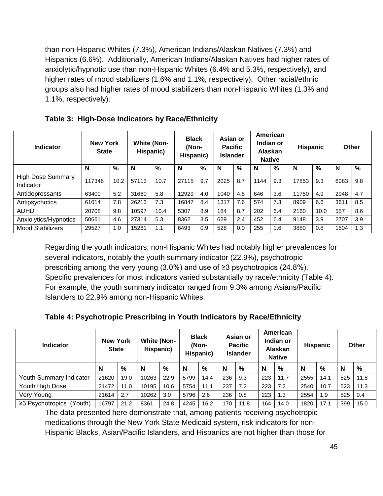than non-Hispanic Whites (7.3%), American Indians/Alaskan Natives (7.3%) and Hispanics (6.6%). Additionally, American Indians/Alaskan Natives had higher rates of anxiolytic/hypnotic use than non-Hispanic Whites (6.4% and 5.3%, respectively), and higher rates of mood stabilizers (1.6% and 1.1%, respectively). Other racial/ethnic groups also had higher rates of mood stabilizers than non-Hispanic Whites (1.3% and 1.1%, respectively).

| <b>Indicator</b>                      | <b>New York</b><br><b>State</b> |      | <b>White (Non-</b><br>Hispanic) |      | <b>Black</b><br>(Non-<br>Hispanic) |      | Asian or<br><b>Pacific</b><br><b>Islander</b> |      | American<br>Indian or<br><b>Alaskan</b><br><b>Native</b> |     | Hispanic |      | Other |     |
|---------------------------------------|---------------------------------|------|---------------------------------|------|------------------------------------|------|-----------------------------------------------|------|----------------------------------------------------------|-----|----------|------|-------|-----|
|                                       | N                               | $\%$ | N                               | %    | N                                  | $\%$ | N                                             | $\%$ | N                                                        | %   | N        | %    | N     | %   |
| <b>High Dose Summary</b><br>Indicator | 117346                          | 10.2 | 57113                           | 10.7 | 27115                              | 9.7  | 2025                                          | 8.7  | 1144                                                     | 9.3 | 17853    | 9.3  | 6083  | 9.8 |
| Antidepressants                       | 63400                           | 5.2  | 31660                           | 5.8  | 12929                              | 4.0  | 1040                                          | 4.8  | 646                                                      | 3.6 | 11750    | 4.9  | 2948  | 4.7 |
| Antipsychotics                        | 61014                           | 7.8  | 26213                           | 7.3  | 16847                              | 8.4  | 1317                                          | 7.6  | 574                                                      | 7.3 | 8909     | 6.6  | 3611  | 8.5 |
| ADHD                                  | 20708                           | 9.8  | 10597                           | 10.4 | 5307                               | 8.9  | 184                                           | 8.7  | 202                                                      | 6.4 | 2160     | 10.0 | 557   | 8.6 |
| Anxiolytics/Hypnotics                 | 50661                           | 4.6  | 27314                           | 5.3  | 8362                               | 3.5  | 629                                           | 2.4  | 452                                                      | 6.4 | 9148     | 3.9  | 2707  | 3.9 |
| <b>Mood Stabilizers</b>               | 29527                           | 1.0  | 15261                           | 1.1  | 6493                               | 0.9  | 528                                           | 0.0  | 255                                                      | 1.6 | 3880     | 0.8  | 1504  | 1.3 |

**Table 3: High-Dose Indicators by Race/Ethnicity**

Regarding the youth indicators, non-Hispanic Whites had notably higher prevalences for several indicators, notably the youth summary indicator (22.9%), psychotropic prescribing among the very young (3.0%) and use of ≥3 psychotropics (24.8%). Specific prevalences for most indicators varied substantially by race/ethnicity (Table 4). For example, the youth summary indicator ranged from 9.3% among Asians/Pacific Islanders to 22.9% among non-Hispanic Whites.

**Table 4: Psychotropic Prescribing in Youth Indicators by Race/Ethnicity**

| <b>Indicator</b>                   | <b>New York</b><br><b>State</b> |      | <b>White (Non-</b><br>Hispanic) |      | <b>Black</b><br>(Non-<br>Hispanic) |               | Asian or<br><b>Pacific</b><br><b>Islander</b> |      | American<br>Indian or<br>Alaskan<br><b>Native</b> |      | <b>Hispanic</b> |      | <b>Other</b> |      |
|------------------------------------|---------------------------------|------|---------------------------------|------|------------------------------------|---------------|-----------------------------------------------|------|---------------------------------------------------|------|-----------------|------|--------------|------|
|                                    | N                               | %    | N                               | %    | N                                  | $\frac{9}{6}$ | N                                             | %    | N                                                 | %    | N               | %    | N            | %    |
| Youth Summary Indicator            | 21620                           | 19.0 | 10263                           | 22.9 | 5799                               | 14.4          | 236                                           | 9.3  | 223                                               | 11.7 | 2555            | 14.1 | 525          | 11.8 |
| Youth High Dose                    | 21472                           | 11.0 | 10195                           | 10.6 | 5754                               | 11.1          | 237                                           | 7.2  | 223                                               | 7.2  | 2540            | 10.7 | 523          | 11.3 |
| Very Young                         | 21614                           | 2.7  | 10262                           | 3.0  | 5796                               | 2.6           | 236                                           | 0.8  | 223                                               | 1.3  | 2554            | 1.9  | 525          | 0.4  |
| $\geq$ 3 Psychotropics (<br>Youth) | 16797                           | 21.2 | 8361                            | 24.8 | 4245                               | 16.2          | 170                                           | 11.8 | 164                                               | 14.0 | 1820            | 17.1 | 399          | 15.0 |

The data presented here demonstrate that, among patients receiving psychotropic medications through the New York State Medicaid system, risk indicators for non-Hispanic Blacks, Asian/Pacific Islanders, and Hispanics are not higher than those for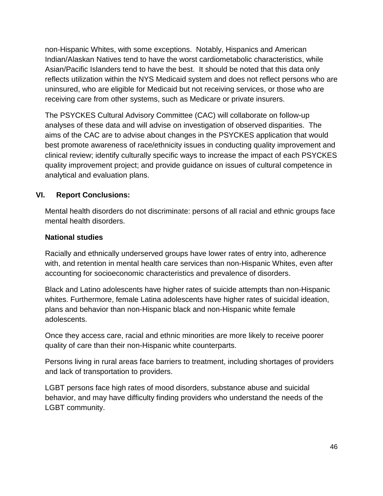non-Hispanic Whites, with some exceptions. Notably, Hispanics and American Indian/Alaskan Natives tend to have the worst cardiometabolic characteristics, while Asian/Pacific Islanders tend to have the best. It should be noted that this data only reflects utilization within the NYS Medicaid system and does not reflect persons who are uninsured, who are eligible for Medicaid but not receiving services, or those who are receiving care from other systems, such as Medicare or private insurers.

The PSYCKES Cultural Advisory Committee (CAC) will collaborate on follow-up analyses of these data and will advise on investigation of observed disparities. The aims of the CAC are to advise about changes in the PSYCKES application that would best promote awareness of race/ethnicity issues in conducting quality improvement and clinical review; identify culturally specific ways to increase the impact of each PSYCKES quality improvement project; and provide guidance on issues of cultural competence in analytical and evaluation plans.

# <span id="page-45-0"></span>**VI. Report Conclusions:**

Mental health disorders do not discriminate: persons of all racial and ethnic groups face mental health disorders.

## **National studies**

Racially and ethnically underserved groups have lower rates of entry into, adherence with, and retention in mental health care services than non-Hispanic Whites, even after accounting for socioeconomic characteristics and prevalence of disorders.

Black and Latino adolescents have higher rates of suicide attempts than non-Hispanic whites. Furthermore, female Latina adolescents have higher rates of suicidal ideation, plans and behavior than non-Hispanic black and non-Hispanic white female adolescents.

Once they access care, racial and ethnic minorities are more likely to receive poorer quality of care than their non-Hispanic white counterparts.

Persons living in rural areas face barriers to treatment, including shortages of providers and lack of transportation to providers.

LGBT persons face high rates of mood disorders, substance abuse and suicidal behavior, and may have difficulty finding providers who understand the needs of the LGBT community.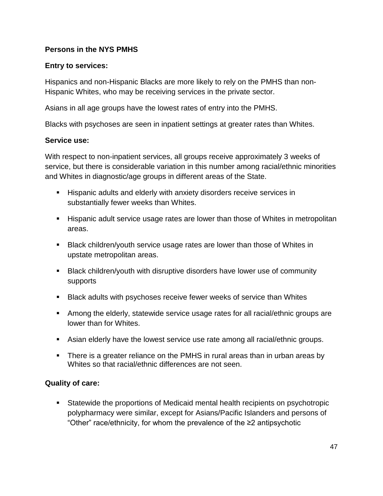# **Persons in the NYS PMHS**

## **Entry to services:**

Hispanics and non-Hispanic Blacks are more likely to rely on the PMHS than non-Hispanic Whites, who may be receiving services in the private sector.

Asians in all age groups have the lowest rates of entry into the PMHS.

Blacks with psychoses are seen in inpatient settings at greater rates than Whites.

#### **Service use:**

With respect to non-inpatient services, all groups receive approximately 3 weeks of service, but there is considerable variation in this number among racial/ethnic minorities and Whites in diagnostic/age groups in different areas of the State.

- **Hispanic adults and elderly with anxiety disorders receive services in** substantially fewer weeks than Whites.
- Hispanic adult service usage rates are lower than those of Whites in metropolitan areas.
- Black children/youth service usage rates are lower than those of Whites in upstate metropolitan areas.
- **Black children/youth with disruptive disorders have lower use of community** supports
- Black adults with psychoses receive fewer weeks of service than Whites
- Among the elderly, statewide service usage rates for all racial/ethnic groups are lower than for Whites.
- Asian elderly have the lowest service use rate among all racial/ethnic groups.
- There is a greater reliance on the PMHS in rural areas than in urban areas by Whites so that racial/ethnic differences are not seen.

#### **Quality of care:**

 Statewide the proportions of Medicaid mental health recipients on psychotropic polypharmacy were similar, except for Asians/Pacific Islanders and persons of "Other" race/ethnicity, for whom the prevalence of the ≥2 antipsychotic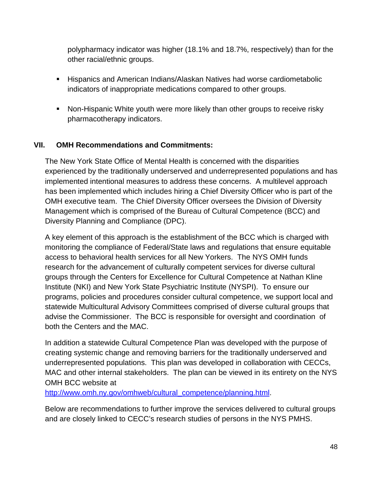polypharmacy indicator was higher (18.1% and 18.7%, respectively) than for the other racial/ethnic groups.

- Hispanics and American Indians/Alaskan Natives had worse cardiometabolic indicators of inappropriate medications compared to other groups.
- **Non-Hispanic White youth were more likely than other groups to receive risky** pharmacotherapy indicators.

## <span id="page-47-0"></span>**VII. OMH Recommendations and Commitments:**

The New York State Office of Mental Health is concerned with the disparities experienced by the traditionally underserved and underrepresented populations and has implemented intentional measures to address these concerns. A multilevel approach has been implemented which includes hiring a Chief Diversity Officer who is part of the OMH executive team. The Chief Diversity Officer oversees the Division of Diversity Management which is comprised of the Bureau of Cultural Competence (BCC) and Diversity Planning and Compliance (DPC).

A key element of this approach is the establishment of the BCC which is charged with monitoring the compliance of Federal/State laws and regulations that ensure equitable access to behavioral health services for all New Yorkers. The NYS OMH funds research for the advancement of culturally competent services for diverse cultural groups through the Centers for Excellence for Cultural Competence at Nathan Kline Institute (NKI) and New York State Psychiatric Institute (NYSPI). To ensure our programs, policies and procedures consider cultural competence, we support local and statewide Multicultural Advisory Committees comprised of diverse cultural groups that advise the Commissioner. The BCC is responsible for oversight and coordination of both the Centers and the MAC.

In addition a statewide Cultural Competence Plan was developed with the purpose of creating systemic change and removing barriers for the traditionally underserved and underrepresented populations. This plan was developed in collaboration with CECCs, MAC and other internal stakeholders. The plan can be viewed in its entirety on the NYS OMH BCC website at

[http://www.omh.ny.gov/omhweb/cultural\\_competence/planning.html.](http://www.omh.ny.gov/omhweb/cultural_competence/planning.html)

Below are recommendations to further improve the services delivered to cultural groups and are closely linked to CECC's research studies of persons in the NYS PMHS.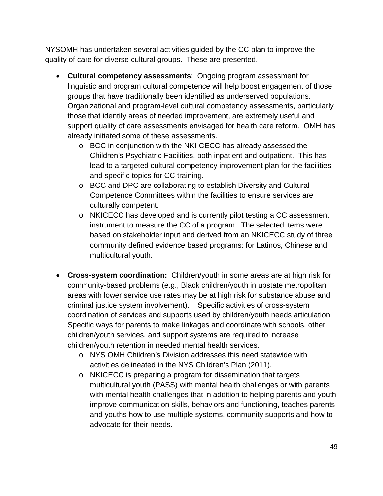NYSOMH has undertaken several activities guided by the CC plan to improve the quality of care for diverse cultural groups. These are presented.

- **Cultural competency assessments**: Ongoing program assessment for linguistic and program cultural competence will help boost engagement of those groups that have traditionally been identified as underserved populations. Organizational and program-level cultural competency assessments, particularly those that identify areas of needed improvement, are extremely useful and support quality of care assessments envisaged for health care reform. OMH has already initiated some of these assessments.
	- o BCC in conjunction with the NKI-CECC has already assessed the Children's Psychiatric Facilities, both inpatient and outpatient. This has lead to a targeted cultural competency improvement plan for the facilities and specific topics for CC training.
	- o BCC and DPC are collaborating to establish Diversity and Cultural Competence Committees within the facilities to ensure services are culturally competent.
	- o NKICECC has developed and is currently pilot testing a CC assessment instrument to measure the CC of a program. The selected items were based on stakeholder input and derived from an NKICECC study of three community defined evidence based programs: for Latinos, Chinese and multicultural youth.
- **Cross-system coordination:** Children/youth in some areas are at high risk for community-based problems (e.g., Black children/youth in upstate metropolitan areas with lower service use rates may be at high risk for substance abuse and criminal justice system involvement). Specific activities of cross-system coordination of services and supports used by children/youth needs articulation. Specific ways for parents to make linkages and coordinate with schools, other children/youth services, and support systems are required to increase children/youth retention in needed mental health services.
	- o NYS OMH Children's Division addresses this need statewide with activities delineated in the NYS Children's Plan (2011).
	- o NKICECC is preparing a program for dissemination that targets multicultural youth (PASS) with mental health challenges or with parents with mental health challenges that in addition to helping parents and youth improve communication skills, behaviors and functioning, teaches parents and youths how to use multiple systems, community supports and how to advocate for their needs.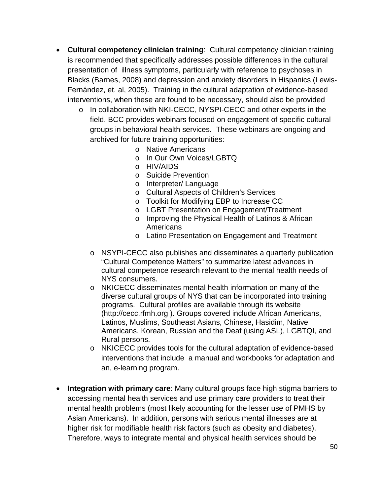- **Cultural competency clinician training**: Cultural competency clinician training is recommended that specifically addresses possible differences in the cultural presentation of illness symptoms, particularly with reference to psychoses in Blacks (Barnes, 2008) and depression and anxiety disorders in Hispanics (Lewis-Fernández, et. al, 2005). Training in the cultural adaptation of evidence-based interventions, when these are found to be necessary, should also be provided
	- o In collaboration with NKI-CECC, NYSPI-CECC and other experts in the field, BCC provides webinars focused on engagement of specific cultural groups in behavioral health services. These webinars are ongoing and archived for future training opportunities:
		- o Native Americans
		- o In Our Own Voices/LGBTQ
		- o HIV/AIDS
		- o Suicide Prevention
		- o Interpreter/ Language
		- o Cultural Aspects of Children's Services
		- o Toolkit for Modifying EBP to Increase CC
		- o LGBT Presentation on Engagement/Treatment
		- o Improving the Physical Health of Latinos & African Americans
		- o Latino Presentation on Engagement and Treatment
		- $\circ$  NSYPI-CECC also publishes and disseminates a quarterly publication "Cultural Competence Matters" to summarize latest advances in cultural competence research relevant to the mental health needs of NYS consumers.
		- o NKICECC disseminates mental health information on many of the diverse cultural groups of NYS that can be incorporated into training programs. Cultural profiles are available through its website (http://cecc.rfmh.org ). Groups covered include African Americans, Latinos, Muslims, Southeast Asians, Chinese, Hasidim, Native Americans, Korean, Russian and the Deaf (using ASL), LGBTQI, and Rural persons.
		- o NKICECC provides tools for the cultural adaptation of evidence-based interventions that include a manual and workbooks for adaptation and an, e-learning program.
- **Integration with primary care**: Many cultural groups face high stigma barriers to accessing mental health services and use primary care providers to treat their mental health problems (most likely accounting for the lesser use of PMHS by Asian Americans). In addition, persons with serious mental illnesses are at higher risk for modifiable health risk factors (such as obesity and diabetes). Therefore, ways to integrate mental and physical health services should be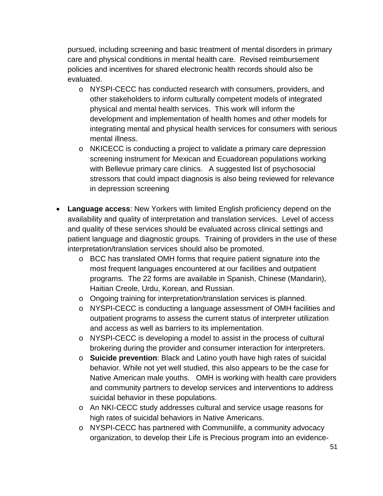pursued, including screening and basic treatment of mental disorders in primary care and physical conditions in mental health care. Revised reimbursement policies and incentives for shared electronic health records should also be evaluated.

- o NYSPI-CECC has conducted research with consumers, providers, and other stakeholders to inform culturally competent models of integrated physical and mental health services. This work will inform the development and implementation of health homes and other models for integrating mental and physical health services for consumers with serious mental illness.
- o NKICECC is conducting a project to validate a primary care depression screening instrument for Mexican and Ecuadorean populations working with Bellevue primary care clinics. A suggested list of psychosocial stressors that could impact diagnosis is also being reviewed for relevance in depression screening
- **Language access**: New Yorkers with limited English proficiency depend on the availability and quality of interpretation and translation services. Level of access and quality of these services should be evaluated across clinical settings and patient language and diagnostic groups. Training of providers in the use of these interpretation/translation services should also be promoted.
	- o BCC has translated OMH forms that require patient signature into the most frequent languages encountered at our facilities and outpatient programs. The 22 forms are available in Spanish, Chinese (Mandarin), Haitian Creole, Urdu, Korean, and Russian.
	- o Ongoing training for interpretation/translation services is planned.
	- o NYSPI-CECC is conducting a language assessment of OMH facilities and outpatient programs to assess the current status of interpreter utilization and access as well as barriers to its implementation.
	- o NYSPI-CECC is developing a model to assist in the process of cultural brokering during the provider and consumer interaction for interpreters.
	- o **Suicide prevention**: Black and Latino youth have high rates of suicidal behavior. While not yet well studied, this also appears to be the case for Native American male youths. OMH is working with health care providers and community partners to develop services and interventions to address suicidal behavior in these populations.
	- o An NKI-CECC study addresses cultural and service usage reasons for high rates of suicidal behaviors in Native Americans.
	- o NYSPI-CECC has partnered with Communilife, a community advocacy organization, to develop their Life is Precious program into an evidence-